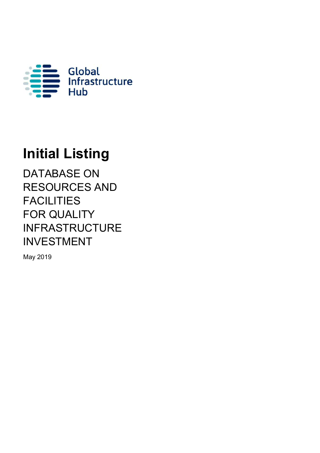

# **Initial Listing**

DATABASE ON RESOURCES AND **FACILITIES** FOR QUALITY INFRASTRUCTURE INVESTMENT

May 2019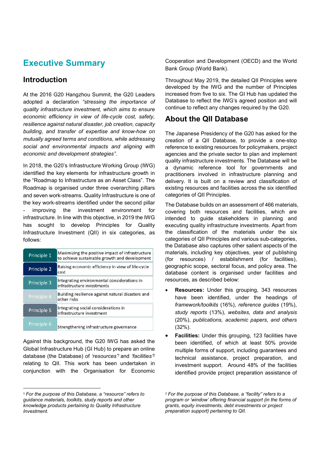# **Executive Summary**

#### **Introduction**

At the 2016 G20 Hangzhou Summit, the G20 Leaders adopted a declaration *"stressing the importance of quality infrastructure investment, which aims to ensure economic efficiency in view of life-cycle cost, safety, resilience against natural disaster, job creation, capacity building, and transfer of expertise and know-how on mutually agreed terms and conditions, while addressing social and environmental impacts and aligning with economic and development strategies"*.

In 2018, the G20's Infrastructure Working Group (IWG) identified the key elements for infrastructure growth in the "Roadmap to Infrastructure as an Asset Class". The Roadmap is organised under three overarching pillars and seven work-streams. Quality Infrastructure is one of the key work-streams identified under the second pillar improving the investment environment for infrastructure. In line with this objective, in 2019 the IWG has sought to develop Principles for Quality Infrastructure Investment (QII) in six categories, as follows:

| Principle 1 | Maximizing the positive impact of infrastructure<br>to achieve sustainable growth and development |
|-------------|---------------------------------------------------------------------------------------------------|
| Principle 2 | Raising economic efficiency in view of life-cycle<br>cost                                         |
| Principle 3 | Integrating environmental considerations in<br>infrastructure investments                         |
| Principle 4 | Building resilience against natural disasters and<br>other risks                                  |
| Principle 5 | Integrating social considerations in<br>infrastructure investment                                 |
| Principle 6 | Strengthening infrastructure governance                                                           |

Against this background, the G20 IWG has asked the Global Infrastructure Hub (GI Hub) to prepare an online database (the Database) of *'resources'*1 and *'facilities'*<sup>2</sup> relating to QII. This work has been undertaken in conjunction with the Organisation for Economic Cooperation and Development (OECD) and the World Bank Group (World Bank).

Throughout May 2019, the detailed QII Principles were developed by the IWG and the number of Principles increased from five to six. The GI Hub has updated the Database to reflect the IWG's agreed position and will continue to reflect any changes required by the G20.

#### **About the QII Database**

The Japanese Presidency of the G20 has asked for the creation of a QII Database, to provide a one-stop reference to existing resources for policymakers, project agencies and the private sector to plan and implement quality infrastructure investments. The Database will be a dynamic reference tool for governments and practitioners involved in infrastructure planning and delivery. It is built on a review and classification of existing resources and facilities across the six identified categories of QII Principles.

The Database builds on an assessment of 466 materials, covering both resources and facilities, which are intended to guide stakeholders in planning and executing quality infrastructure investments. Apart from the classification of the materials under the six categories of QII Principles and various sub-categories, the Database also captures other salient aspects of the materials, including key objectives, year of publishing (for resources) / establishment (for facilities), geographic scope, sectoral focus, and policy area. The database content is organised under facilities and resources, as described below:

- **Resources:** Under this grouping, 343 resources have been identified, under the headings of *framework/toolkits* (16%), *reference guides* (19%), *study reports* (13%), *websites, data and analysis* (20%), *publications, academic papers, and others*  (32%).
- **Facilities:** Under this grouping, 123 facilities have been identified, of which at least 50% provide multiple forms of support, including guarantees and technical assistance, project preparation, and investment support. Around 48% of the facilities identified provide project preparation assistance of

<sup>1</sup> *For the purpose of this Database, a "resource" refers to guidance materials, toolkits, study reports and other knowledge products pertaining to Quality Infrastructure Investment.*

<sup>2</sup> *For the purpose of this Database, a "facility" refers to a program or 'window' offering financial support (in the forms of grants, equity investments, debt investments or project preparation support) pertaining to QII.*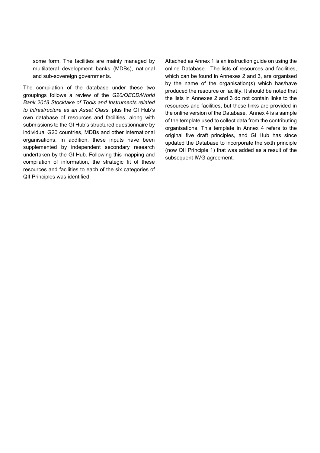some form. The facilities are mainly managed by multilateral development banks (MDBs), national and sub-sovereign governments.

The compilation of the database under these two groupings follows a review of the *G20/OECD/World Bank 2018 Stocktake of Tools and Instruments related to Infrastructure as an Asset Class*, plus the GI Hub's own database of resources and facilities, along with submissions to the GI Hub's structured questionnaire by individual G20 countries, MDBs and other international organisations. In addition, these inputs have been supplemented by independent secondary research undertaken by the GI Hub. Following this mapping and compilation of information, the strategic fit of these resources and facilities to each of the six categories of QII Principles was identified.

Attached as Annex 1 is an instruction guide on using the online Database. The lists of resources and facilities, which can be found in Annexes 2 and 3, are organised by the name of the organisation(s) which has/have produced the resource or facility. It should be noted that the lists in Annexes 2 and 3 do not contain links to the resources and facilities, but these links are provided in the online version of the Database. Annex 4 is a sample of the template used to collect data from the contributing organisations. This template in Annex 4 refers to the original five draft principles, and GI Hub has since updated the Database to incorporate the sixth principle (now QII Principle 1) that was added as a result of the subsequent IWG agreement.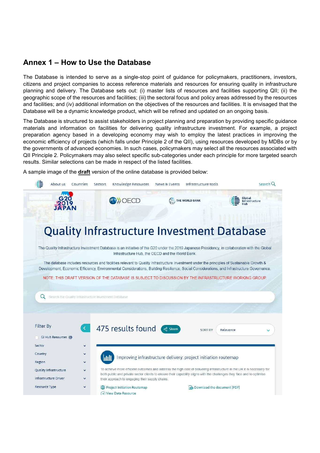#### **Annex 1 – How to Use the Database**

The Database is intended to serve as a single-stop point of guidance for policymakers, practitioners, investors, citizens and project companies to access reference materials and resources for ensuring quality in infrastructure planning and delivery. The Database sets out: (i) master lists of resources and facilities supporting QII; (ii) the geographic scope of the resources and facilities; (iii) the sectoral focus and policy areas addressed by the resources and facilities; and (iv) additional information on the objectives of the resources and facilities. It is envisaged that the Database will be a dynamic knowledge product, which will be refined and updated on an ongoing basis.

The Database is structured to assist stakeholders in project planning and preparation by providing specific guidance materials and information on facilities for delivering quality infrastructure investment. For example, a project preparation agency based in a developing economy may wish to employ the latest practices in improving the economic efficiency of projects (which falls under Principle 2 of the QII), using resources developed by MDBs or by the governments of advanced economies. In such cases, policymakers may select all the resources associated with QII Principle 2. Policymakers may also select specific sub-categories under each principle for more targeted search results. Similar selections can be made in respect of the listed facilities.

A sample image of the **draft** version of the online database is provided below:

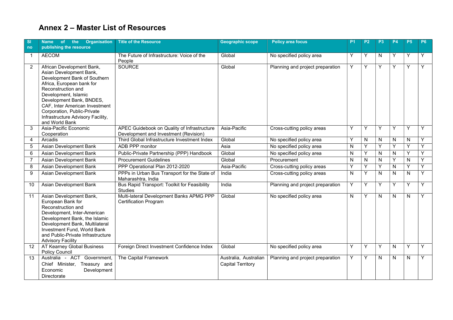### **Annex 2 – Master List of Resources**

| <b>SI</b><br>no | Name of the Organisation<br>publishing the resource                                                                                                                                                                                                                                                                 | <b>Title of the Resource</b>                                                         | <b>Geographic scope</b>                           | <b>Policy area focus</b>         | P <sub>1</sub> | P <sub>2</sub> | P <sub>3</sub> | <b>P4</b> | <b>P5</b> | P <sub>6</sub> |
|-----------------|---------------------------------------------------------------------------------------------------------------------------------------------------------------------------------------------------------------------------------------------------------------------------------------------------------------------|--------------------------------------------------------------------------------------|---------------------------------------------------|----------------------------------|----------------|----------------|----------------|-----------|-----------|----------------|
| -1              | <b>AECOM</b>                                                                                                                                                                                                                                                                                                        | The Future of Infrastructure: Voice of the<br>People                                 | Global                                            | No specified policy area         | Y              | Y              | N              | Y         | Y         | Y              |
| $\overline{2}$  | African Development Bank,<br>Asian Development Bank,<br>Development Bank of Southern<br>Africa, European bank for<br>Reconstruction and<br>Development, Islamic<br>Development Bank, BNDES,<br>CAF, Inter American Investment<br>Corporation, Public-Private<br>Infrastructure Advisory Facility,<br>and World Bank | <b>SOURCE</b>                                                                        | Global                                            | Planning and project preparation | Υ              | Y              | Y              | Υ         | Y         | Y              |
| 3               | Asia-Pacific Economic<br>Cooperation                                                                                                                                                                                                                                                                                | APEC Guidebook on Quality of Infrastructure<br>Development and Investment (Revision) | Asia-Pacific                                      | Cross-cutting policy areas       | Y              | Υ              | Y              | Y         | Y         | Y              |
| 4               | Arcadis                                                                                                                                                                                                                                                                                                             | Third Global Infrastructure Investment Index                                         | Global                                            | No specified policy area         | Y              | N              | N              | N         | N         | Y              |
| 5               | Asian Development Bank                                                                                                                                                                                                                                                                                              | ADB PPP monitor                                                                      | Asia                                              | No specified policy area         | N              | Y              | Y              | Υ         | Y         | Y              |
| 6               | Asian Development Bank                                                                                                                                                                                                                                                                                              | Public-Private Partnership (PPP) Handbook                                            | Global                                            | No specified policy area         | N              | Y              | N              | N         | Y         | Y              |
| $\overline{7}$  | Asian Development Bank                                                                                                                                                                                                                                                                                              | <b>Procurement Guidelines</b>                                                        | Global                                            | Procurement                      | N              | N              | ${\sf N}$      | Υ         | N         | Y              |
| 8               | Asian Development Bank                                                                                                                                                                                                                                                                                              | PPP Operational Plan 2012-2020                                                       | Asia-Pacific                                      | Cross-cutting policy areas       | Υ              | Y              | Y              | ${\sf N}$ | Y         | Y              |
| 9               | Asian Development Bank                                                                                                                                                                                                                                                                                              | PPPs in Urban Bus Transport for the State of<br>Maharashtra, India                   | India                                             | Cross-cutting policy areas       | N              | Y              | N              | N         | N         | Y              |
| 10              | Asian Development Bank                                                                                                                                                                                                                                                                                              | Bus Rapid Transport: Toolkit for Feasibility<br><b>Studies</b>                       | India                                             | Planning and project preparation | Y              | Υ              | Y              | Y         | Y         | Y              |
| 11              | Asian Development Bank,<br>European Bank for<br>Reconstruction and<br>Development, Inter-American<br>Development Bank, the Islamic<br>Development Bank, Multilateral<br>Investment Fund, World Bank<br>and Public-Private Infrastructure<br><b>Advisory Facility</b>                                                | Multi-lateral Development Banks APMG PPP<br><b>Certification Program</b>             | Global                                            | No specified policy area         | N              | Y              | N              | N         | N         | Y              |
| 12              | AT Kearney Global Business<br><b>Policy Council</b>                                                                                                                                                                                                                                                                 | Foreign Direct Investment Confidence Index                                           | Global                                            | No specified policy area         | Y              | Υ              | Υ              | N         | Y         | Y              |
| 13              | Australia - ACT Government,<br>Chief Minister, Treasury and<br>Economic<br>Development<br>Directorate                                                                                                                                                                                                               | The Capital Framework                                                                | Australia, Australian<br><b>Capital Territory</b> | Planning and project preparation | Y              | Y              | N              | N         | N         | Y              |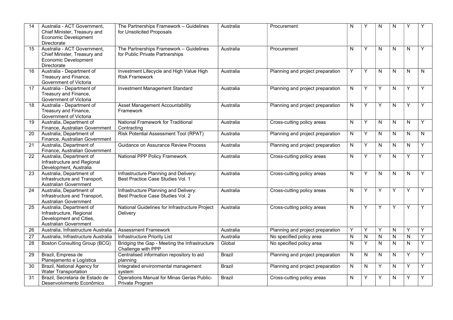| 14              | Australia - ACT Government,<br>Chief Minister, Treasury and<br><b>Economic Development</b><br><b>Directorate</b> | The Partnerships Framework - Guidelines<br>for Unsolicited Proposals       | Australia     | Procurement                      | N                       | Υ            | N            | N            | Υ            |   |
|-----------------|------------------------------------------------------------------------------------------------------------------|----------------------------------------------------------------------------|---------------|----------------------------------|-------------------------|--------------|--------------|--------------|--------------|---|
| 15              | Australia - ACT Government,<br>Chief Minister, Treasury and<br><b>Economic Development</b><br><b>Directorate</b> | The Partnerships Framework - Guidelines<br>for Public Private Partnerships | Australia     | Procurement                      | N                       | Y            | N            | N            | $\mathsf{N}$ | Y |
| 16              | Australia - Department of<br>Treasury and Finance,<br>Government of Victoria                                     | Investment Lifecycle and High Value High<br><b>Risk Framework</b>          | Australia     | Planning and project preparation | Y                       | Y            | N            | $\mathsf{N}$ | $\mathsf{N}$ | N |
| 17              | Australia - Department of<br>Treasury and Finance,<br>Government of Victoria                                     | <b>Investment Management Standard</b>                                      | Australia     | Planning and project preparation | N                       | Y            | Y            | N            | Y            | Y |
| 18              | Australia - Department of<br>Treasury and Finance,<br>Government of Victoria                                     | Asset Management Accountability<br>Framework                               | Australia     | Planning and project preparation | N                       | Y            | Y            | N            | Y            | Y |
| 19              | Australia, Department of<br>Finance, Australian Government                                                       | National Framework for Traditional<br>Contracting                          | Australia     | Cross-cutting policy areas       | N                       | Y            | N            | N            | N            | Y |
| 20              | Australia, Department of<br>Finance, Australian Government                                                       | <b>Risk Potential Assessment Tool (RPAT)</b>                               | Australia     | Planning and project preparation | N                       | Y            | N            | $\mathsf{N}$ | N            | N |
| 21              | Australia, Department of<br>Finance, Australian Government                                                       | Guidance on Assurance Review Process                                       | Australia     | Planning and project preparation | N                       | Y            | N            | N            | N            | Y |
| 22              | Australia, Department of<br>Infrastructure and Regional<br>Development, Australia                                | National PPP Policy Framework                                              | Australia     | Cross-cutting policy areas       | N                       | Y            | Y            | N            | Y            | Y |
| $\overline{23}$ | Australia, Department of<br>Infrastructure and Transport,<br><b>Australian Government</b>                        | Infrastructure Planning and Delivery:<br>Best Practice Case Studies Vol. 1 | Australia     | Cross-cutting policy areas       | N                       | Y            | ${\sf N}$    | $\mathsf{N}$ | $\mathsf{N}$ | Y |
| 24              | Australia, Department of<br>Infrastructure and Transport,<br>Australian Government                               | Infrastructure Planning and Delivery:<br>Best Practice Case Studies Vol. 2 | Australia     | Cross-cutting policy areas       | N                       | Y            | Y            | Y            | Y            | Y |
| 25              | Australia, Department of<br>Infrastructure, Regional<br>Development and Cities,<br><b>Australian Government</b>  | National Guidelines for Infrastructure Project<br>Delivery                 | Australia     | Cross-cutting policy areas       | $\overline{\mathsf{N}}$ | Y            | Y            | Y            | Y            | Ÿ |
| 26              | Australia, Infrastructure Australia                                                                              | <b>Assessment Framework</b>                                                | Australia     | Planning and project preparation | Υ                       | Y            | Υ            | ${\sf N}$    | Υ            | Y |
| 27              | Australia, Infrastructure Australia                                                                              | Infrastructure Priority List                                               | Australia     | No specified policy area         | ${\sf N}$               | $\mathsf{N}$ | $\mathsf{N}$ | $\mathsf{N}$ | $\mathsf{N}$ | Y |
| 28              | <b>Boston Consulting Group (BCG)</b>                                                                             | Bridging the Gap - Meeting the Infrastructure<br>Challenge with PPP        | Global        | No specified policy area         | N                       | Y            | ${\sf N}$    | N            | N            | Y |
| 29              | Brazil, Empresa de<br>Planejamento e Logística                                                                   | Centralised information repository to aid<br>planning                      | <b>Brazil</b> | Planning and project preparation | N                       | $\mathsf{N}$ | N            | $\mathsf{N}$ | Y            | Y |
| 30              | Brazil, National Agency for<br><b>Water Transportation</b>                                                       | Integrated environmental management<br>svstem                              | <b>Brazil</b> | Planning and project preparation | N                       | N            | Y            | $\mathsf{N}$ | Y            | Y |
| 31              | Brazil, Secretaria de Estado de<br>Desenvolvimento Econômico                                                     | Operations Manual for Minas Gerias Public-<br>Private Program              | <b>Brazil</b> | Cross-cutting policy areas       | N                       | Υ            | Υ            | N            | Υ            | Y |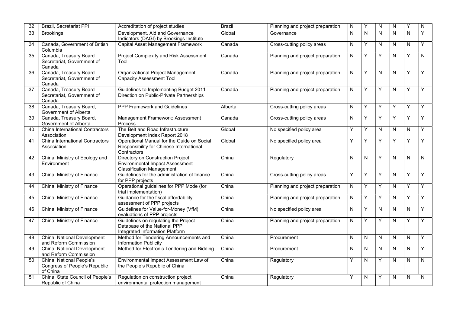| $\overline{32}$ | <b>Brazil, Secretariat PPI</b>                                        | Accreditation of project studies                                                                         | <b>Brazil</b> | Planning and project preparation | N                       | Y            | N            | N                       | Y            | N         |
|-----------------|-----------------------------------------------------------------------|----------------------------------------------------------------------------------------------------------|---------------|----------------------------------|-------------------------|--------------|--------------|-------------------------|--------------|-----------|
| 33              | <b>Brookings</b>                                                      | Development, Aid and Governance<br>Indicators (DAGI) by Brookings Institute                              | Global        | Governance                       | $\overline{\mathsf{N}}$ | $\mathsf{N}$ | $\mathsf{N}$ | $\overline{\mathsf{N}}$ | $\mathsf{N}$ | Y         |
| 34              | Canada, Government of British<br>Columbia                             | <b>Capital Asset Management Framework</b>                                                                | Canada        | Cross-cutting policy areas       | ${\sf N}$               | Y            | $\mathsf{N}$ | N                       | N            | Υ         |
| 35              | Canada, Treasury Board<br>Secretariat, Government of<br>Canada        | Project Complexity and Risk Assessment<br>Tool                                                           | Canada        | Planning and project preparation | ${\sf N}$               | Y            | Y            | N                       | Y            | ${\sf N}$ |
| 36              | Canada, Treasury Board<br>Secretariat, Government of<br>Canada        | Organizational Project Management<br><b>Capacity Assessment Tool</b>                                     | Canada        | Planning and project preparation | ${\sf N}$               | Y            | $\mathsf{N}$ | N                       | Y            | Υ         |
| 37              | Canada, Treasury Board<br>Secretariat, Government of<br>Canada        | Guidelines to Implementing Budget 2011<br>Direction on Public-Private Partnerships                       | Canada        | Planning and project preparation | $\mathsf{N}$            | Y            | Y            | N                       | Y            | Y         |
| 38              | Canada, Treasury Board,<br>Government of Alberta                      | <b>PPP Framework and Guidelines</b>                                                                      | Alberta       | Cross-cutting policy areas       | N                       | Y            | Y            | Y                       | Y            | Y         |
| 39              | Canada, Treasury Board,<br>Government of Alberta                      | Management Framework: Assessment<br>Process                                                              | Canada        | Cross-cutting policy areas       | N                       | Y            | Υ            | Υ                       | Y            | Y         |
| 40              | China International Contractors<br>Association                        | The Belt and Road Infrastructure<br>Development Index Report 2018                                        | Global        | No specified policy area         | Υ                       | Υ            | $\mathsf{N}$ | N                       | N            | Υ         |
| 41              | China International Contractors<br>Association                        | Operational Manual for the Guide on Social<br>Responsibility for Chinese International<br>Contractors    | Global        | No specified policy area         | Υ                       | Y            | Y            | Υ                       | Y            | Y         |
| 42              | China, Ministry of Ecology and<br>Environment                         | Directory on Construction Project<br>Environmental Impact Assessment<br><b>Classification Management</b> | China         | Regulatory                       | $\mathsf{N}$            | $\mathsf{N}$ | Y            | N                       | N            | ${\sf N}$ |
| 43              | China, Ministry of Finance                                            | Guidelines for the administration of finance<br>for PPP projects                                         | China         | Cross-cutting policy areas       | Υ                       | Y            | Y            | N                       | Y            | Y         |
| 44              | China, Ministry of Finance                                            | Operational guidelines for PPP Mode (for<br>trial implementation)                                        | China         | Planning and project preparation | ${\sf N}$               | Y            | Y            | $\mathsf{N}$            | Y            | Y         |
| 45              | China, Ministry of Finance                                            | Guidance for the fiscal affordability<br>assessment of PPP projects                                      | China         | Planning and project preparation | N                       | Y            | Y            | ${\sf N}$               | Y            | Y         |
| 46              | China, Ministry of Finance                                            | Guidelines for Value-for-Money (VfM)<br>evaluations of PPP projects                                      | China         | No specified policy area         | N                       | Y            | N            | N                       | N            | Y         |
| 47              | China, Ministry of Finance                                            | Guidelines on regulating the Project<br>Database of the National PPP<br>Integrated Information Platform  | China         | Planning and project preparation | N                       | Υ            | Y            | N                       | Υ            | Y         |
| 48              | China, National Development<br>and Reform Commission                  | Method for Tendering Announcements and<br><b>Information Publicity</b>                                   | China         | Procurement                      | ${\sf N}$               | $\mathsf{N}$ | $\mathsf{N}$ | ${\sf N}$               | N            | Υ         |
| 49              | China, National Development<br>and Reform Commission                  | Method for Electronic Tendering and Bidding                                                              | China         | Procurement                      | N                       | N            | N            | ${\sf N}$               | N            | Y         |
| 50              | China, National People's<br>Congress of People's Republic<br>of China | Environmental Impact Assessment Law of<br>the People's Republic of China                                 | China         | Regulatory                       | Y                       | N            | Y            | N                       | N            | N         |
| 51              | China, State Council of People's<br>Republic of China                 | Regulation on construction project<br>environmental protection management                                | China         | Regulatory                       | Y                       | N            | Y            | N                       | N            | N         |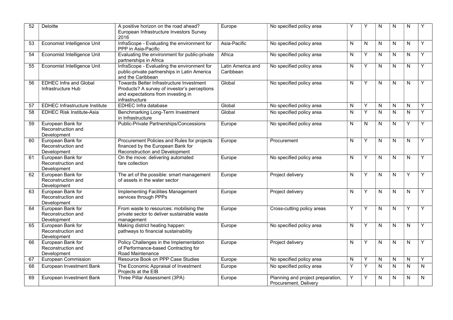| $\overline{52}$ | <b>Deloitte</b>                                        | A positive horizon on the road ahead?                                                                                                            | Europe                         | No specified policy area                                   |   | Y            | N                       | N         | N                       |   |
|-----------------|--------------------------------------------------------|--------------------------------------------------------------------------------------------------------------------------------------------------|--------------------------------|------------------------------------------------------------|---|--------------|-------------------------|-----------|-------------------------|---|
|                 |                                                        | European Infrastructure Investors Survey<br>2016                                                                                                 |                                |                                                            |   |              |                         |           |                         |   |
| 53              | Economist Intelligence Unit                            | InfraScope - Evaluating the environment for<br>PPP in Asia-Pacific                                                                               | Asia-Pacific                   | No specified policy area                                   | N | $\mathsf{N}$ | N                       | N         | N                       | Y |
| 54              | Economist Intelligence Unit                            | Evaluating the environment for public-private<br>partnerships in Africa                                                                          | Africa                         | No specified policy area                                   | N | Y            | N                       | N         | N                       | Y |
| 55              | Economist Intelligence Unit                            | InfraScope - Evaluating the environment for<br>public-private partnerships in Latin America<br>and the Caribbean                                 | Latin America and<br>Caribbean | No specified policy area                                   | Ν | Y            | N                       | N         | $\mathsf{N}$            | Y |
| 56              | <b>EDHEC Infra and Global</b><br>Infrastructure Hub    | Towards Better Infrastructure Investment<br>Products? A survey of investor's perceptions<br>and expectations from investing in<br>infrastructure | Global                         | No specified policy area                                   | N | Y            | N                       | N         | $\mathsf{N}$            | Y |
| 57              | <b>EDHEC Infrastructure Institute</b>                  | <b>EDHEC Infra database</b>                                                                                                                      | Global                         | No specified policy area                                   | Ν | Y            | N                       | N         | N                       | Y |
| 58              | <b>EDHEC Risk Institute-Asia</b>                       | Benchmarking Long-Term Investment<br>in Infrastructure                                                                                           | Global                         | No specified policy area                                   | N | Y            | N                       | ${\sf N}$ | N                       | Y |
| 59              | European Bank for<br>Reconstruction and<br>Development | <b>Public-Private Partnerships/Concessions</b>                                                                                                   | Europe                         | No specified policy area                                   | N | N            | N                       | N         | Υ                       | Υ |
| 60              | European Bank for<br>Reconstruction and<br>Development | Procurement Policies and Rules for projects<br>financed by the European Bank for<br>Reconstruction and Development                               | Europe                         | Procurement                                                | N | Y            | N                       | N         | N                       | Y |
| 61              | European Bank for<br>Reconstruction and<br>Development | On the move: delivering automated<br>fare collection                                                                                             | Europe                         | No specified policy area                                   | N | Y            | N                       | N         | N                       | Y |
| 62              | European Bank for<br>Reconstruction and<br>Development | The art of the possible: smart management<br>of assets in the water sector                                                                       | Europe                         | Project delivery                                           | N | Y            | N                       | N         | Y                       | Y |
| 63              | European Bank for<br>Reconstruction and<br>Development | Implementing Facilities Management<br>services through PPPs                                                                                      | Europe                         | Project delivery                                           | N | Y            | N                       | N         | N                       | Y |
| 64              | European Bank for<br>Reconstruction and<br>Development | From waste to resources: mobilising the<br>private sector to deliver sustainable waste<br>management                                             | Europe                         | Cross-cutting policy areas                                 | Y | Y            | N                       | N         | Y                       | Y |
| 65              | European Bank for<br>Reconstruction and<br>Development | Making district heating happen:<br>pathways to financial sustainability                                                                          | Europe                         | No specified policy area                                   | N | Y            | N                       | N         | N                       | Y |
| 66              | European Bank for<br>Reconstruction and<br>Development | Policy Challenges in the Implementation<br>of Performance-based Contracting for<br>Road Maintenance                                              | Europe                         | Project delivery                                           | N | Y            | N                       | N         | N                       | Y |
| 67              | European Commission                                    | Resource Book on PPP Case Studies                                                                                                                | Europe                         | No specified policy area                                   | N | Y            | N                       | N         | N                       | Y |
| 68              | European Investment Bank                               | The Economic Appraisal of Investment<br>Projects at the EIB                                                                                      | Europe                         | No specified policy area                                   | Y | Y            | $\mathsf{N}$            | N         | N                       | N |
| 69              | European Investment Bank                               | Three Pillar Assessment (3PA)                                                                                                                    | Europe                         | Planning and project preparation,<br>Procurement, Delivery | Y | Y            | $\overline{\mathsf{N}}$ | N         | $\overline{\mathsf{N}}$ | N |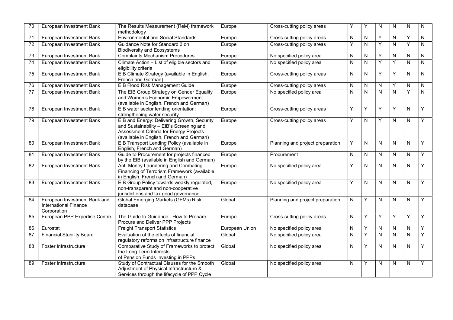| 70              | European Investment Bank                                                    | The Results Measurement (ReM) framework<br>methodology                                                                                                                          | Europe         | Cross-cutting policy areas       | Υ | Y            | N            | N              | N                       | N            |
|-----------------|-----------------------------------------------------------------------------|---------------------------------------------------------------------------------------------------------------------------------------------------------------------------------|----------------|----------------------------------|---|--------------|--------------|----------------|-------------------------|--------------|
| $\overline{71}$ | European Investment Bank                                                    | <b>Environmental and Social Standards</b>                                                                                                                                       | Europe         | Cross-cutting policy areas       | N | $\mathsf{N}$ | Y            | N              | Y                       | N            |
| $\overline{72}$ | European Investment Bank                                                    | Guidance Note for Standard 3 on<br><b>Biodiversity and Ecosystems</b>                                                                                                           | Europe         | Cross-cutting policy areas       | Y | $\mathsf{N}$ | Y            | $\overline{N}$ | Y                       | $\mathsf{N}$ |
| 73              | European Investment Bank                                                    | <b>Complaints Mechanism Procedures</b>                                                                                                                                          | Europe         | No specified policy area         | N | N            | Y            | N              | N                       | N            |
| 74              | European Investment Bank                                                    | Climate Action - List of eligible sectors and<br>eligibility criteria                                                                                                           | Europe         | No specified policy area         | N | $\mathsf{N}$ | Y            | Y              | N                       | N            |
| 75              | European Investment Bank                                                    | EIB Climate Strategy (available in English,<br>French and German)                                                                                                               | Europe         | Cross-cutting policy areas       | N | N            | Y            | Υ              | N                       | N            |
| 76              | European Investment Bank                                                    | <b>EIB Flood Risk Management Guide</b>                                                                                                                                          | Europe         | Cross-cutting policy areas       | N | $\mathsf{N}$ | $\mathsf{N}$ | Y              | $\overline{\mathsf{N}}$ | N            |
| $\overline{77}$ | European Investment Bank                                                    | The EIB Group Strategy on Gender Equality<br>and Women's Economic Empowerment<br>(available in English, French and German)                                                      | Europe         | No specified policy area         | N | N            | N            | N              | Y                       | N            |
| 78              | European Investment Bank                                                    | EIB water sector lending orientation:<br>strengthening water security                                                                                                           | Europe         | Cross-cutting policy areas       | Y | Y            | Y            | Y              | N                       | Y            |
| 79              | European Investment Bank                                                    | EIB and Energy: Delivering Growth, Security<br>and Sustainability - EIB's Screening and<br>Assessment Criteria for Energy Projects<br>(available in English, French and German) | Europe         | Cross-cutting policy areas       | Y | N            | Y            | N              | N                       | Y            |
| 80              | European Investment Bank                                                    | EIB Transport Lending Policy (available in<br>English, French and German)                                                                                                       | Europe         | Planning and project preparation | Y | N            | N            | N              | N                       | Y            |
| 81              | European Investment Bank                                                    | Guide to Procurement for projects financed<br>by the EIB (available in English and German)                                                                                      | Europe         | Procurement                      | N | N            | N            | N              | N                       | Y            |
| 82              | European Investment Bank                                                    | Anti-Money Laundering and Combating<br>Financing of Terrorism Framework (available<br>in English, French and German)                                                            | Europe         | No specified policy area         | Υ | N            | N            | N              | N                       | Y            |
| 83              | European Investment Bank                                                    | EIB Group Policy towards weakly regulated,<br>non-transparent and non-cooperative<br>jurisdictions and tax good governance                                                      | Europe         | No specified policy area         | Υ | $\mathsf{N}$ | $\mathsf{N}$ | N              | N                       | Y            |
| 84              | European Investment Bank and<br><b>International Finance</b><br>Corporation | <b>Global Emerging Markets (GEMs) Risk</b><br>database                                                                                                                          | Global         | Planning and project preparation | N | Y            | N            | N              | N                       | Y            |
| 85              | European PPP Expertise Centre                                               | The Guide to Guidance - How to Prepare,<br>Procure and Deliver PPP Projects                                                                                                     | Europe         | Cross-cutting policy areas       | N | Y            | Y            | Y              | Y                       | Y            |
| 86              | Eurostat                                                                    | <b>Freight Transport Statistics</b>                                                                                                                                             | European Union | No specified policy area         | N | Y            | N            | N              | N                       | Y            |
| $\overline{87}$ | <b>Financial Stability Board</b>                                            | Evaluation of the effects of financial<br>regulatory reforms on infrastructure finance                                                                                          | Global         | No specified policy area         | N | Y            | N            | ${\sf N}$      | ${\sf N}$               | Y            |
| 88              | Foster Infrastructure                                                       | Comparative Study of Frameworks to protect<br>the Long Term Interests<br>of Pension Funds Investing in PPPs                                                                     | Global         | No specified policy area         | N | Y            | N            | ${\sf N}$      | $\mathsf{N}$            | Y            |
| 89              | Foster Infrastructure                                                       | Study of Contractual Clauses for the Smooth<br>Adjustment of Physical Infrastructure &<br>Services through the lifecycle of PPP Cycle                                           | Global         | No specified policy area         | N | Y            | N            | N              | N                       | Y            |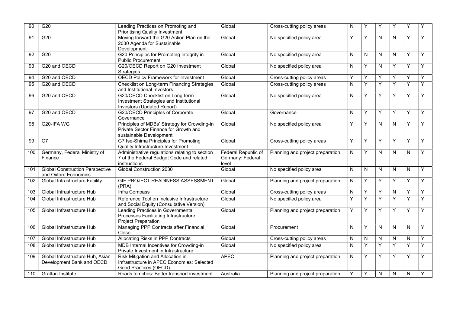| 90  | G20                                                            | Leading Practices on Promoting and<br><b>Prioritising Quality Investment</b>                                     | Global                                           | Cross-cutting policy areas       | N            | Υ | Y            | Υ | Υ         | Υ |
|-----|----------------------------------------------------------------|------------------------------------------------------------------------------------------------------------------|--------------------------------------------------|----------------------------------|--------------|---|--------------|---|-----------|---|
| 91  | G20                                                            | Moving forward the G20 Action Plan on the<br>2030 Agenda for Sustainable<br>Development                          | Global                                           | No specified policy area         | Y            | Y | $\mathsf{N}$ | N | Y         | Y |
| 92  | G20                                                            | G20 Principles for Promoting Integrity in<br><b>Public Procurement</b>                                           | Global                                           | No specified policy area         | N            | N | N            | N | Y         | Y |
| 93  | G20 and OECD                                                   | G20/OECD Report on G20 Investment<br>Strategies                                                                  | Global                                           | No specified policy area         | N            | Y | N            | Y | Y         | Y |
| 94  | G20 and OECD                                                   | <b>OECD Policy Framework for Investment</b>                                                                      | Global                                           | Cross-cutting policy areas       | Y            | Υ | Υ            | Υ | Υ         | Y |
| 95  | G20 and OECD                                                   | Checklist on Long-term Financing Strategies<br>and Institutional Investors                                       | Global                                           | Cross-cutting policy areas       | N            | Υ | Y            | Y | Y         | Υ |
| 96  | G20 and OECD                                                   | G20/OECD Checklist on Long-term<br>Investment Strategies and Institutional<br>Investors (Updated Report)         | Global                                           | No specified policy area         | N            | Y | Y            | Y | Y         | Y |
| 97  | G20 and OECD                                                   | G20/OECD Principles of Corporate<br>Governance                                                                   | Global                                           | Governance                       | $\mathsf{N}$ | Y | Y            | Y | Y         | Y |
| 98  | G20-IFA WG                                                     | Principles of MDBs' Strategy for Crowding-in<br>Private Sector Finance for Growth and<br>sustainable Development | Global                                           | No specified policy area         | Y            | Y | N            | N | Y         | Y |
| 99  | G7                                                             | G7 Ise-Shima Principles for Promoting<br>Quality Infrastructure Investment                                       | Global                                           | Cross-cutting policy areas       | Y            | Y | Y            | Y | Υ         | Y |
| 100 | Germany, Federal Ministry of<br>Finance                        | Administrative regulations relating to section<br>7 of the Federal Budget Code and related<br>instructions       | Federal Republic of<br>Germany: Federal<br>level | Planning and project preparation | N            | Υ | N            | N | N         | Y |
| 101 | <b>Global Construction Perspective</b><br>and Oxford Economics | Global Construction 2030                                                                                         | Global                                           | No specified policy area         | N            | N | $\mathsf{N}$ | N | N.        | Y |
| 102 | <b>Global Infrastructure Facility</b>                          | GIF PROJECT READINESS ASSESSMENT<br>(PRA)                                                                        | Global                                           | Planning and project preparation | N            | Y | Y            | Y | Y         | Y |
| 103 | Global Infrastructure Hub                                      | Infra Compass                                                                                                    | Global                                           | Cross-cutting policy areas       | N            | Y | Y            | N | Y         | Υ |
| 104 | Global Infrastructure Hub                                      | Reference Tool on Inclusive Infrastructure<br>and Social Equity (Consultative Version)                           | Global                                           | No specified policy area         | Y            | Y | Y            | Y | Y         | Y |
| 105 | Global Infrastructure Hub                                      | Leading Practices in Governmental<br>Processes Facilitating Infrastructure<br><b>Project Preparation</b>         | Global                                           | Planning and project preparation | Y            | Y | Y            | Υ | Y         | Y |
| 106 | Global Infrastructure Hub                                      | Managing PPP Contracts after Financial<br>Close                                                                  | Global                                           | Procurement                      | N            | Υ | N            | N | N.        | Y |
| 107 | Global Infrastructure Hub                                      | <b>Allocating Risks in PPP Contracts</b>                                                                         | Global                                           | Cross-cutting policy areas       | N            | N | $\mathsf{N}$ | N | ${\sf N}$ | Υ |
| 108 | Global Infrastructure Hub                                      | MDB Internal Incentives for Crowding-in<br>Private Investment in Infrastructure                                  | Global                                           | No specified policy area         | ${\sf N}$    | Y | Y            | Y | Y         | Y |
| 109 | Global Infrastructure Hub, Asian<br>Development Bank and OECD  | Risk Mitigation and Allocation in<br>Infrastructure in APEC Economies: Selected<br>Good Practices (OECD)         | <b>APEC</b>                                      | Planning and project preparation | N            | Y | Y            | Υ | Y         | Υ |
| 110 | <b>Grattan Institute</b>                                       | Roads to riches: Better transport investment                                                                     | Australia                                        | Planning and project preparation | Y            | Y | N            | N | N         | Y |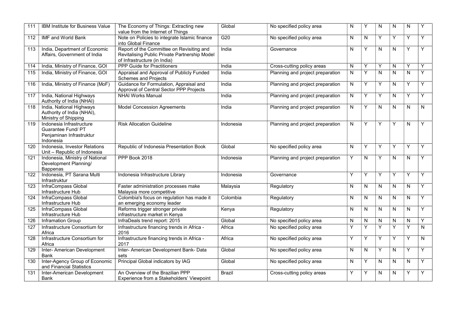| 111              | IBM Institute for Business Value                                                               | The Economy of Things: Extracting new<br>value from the Internet of Things                                                 | Global        | No specified policy area         | N         | Y            | ${\sf N}$      | ${\sf N}$               | N            |                         |
|------------------|------------------------------------------------------------------------------------------------|----------------------------------------------------------------------------------------------------------------------------|---------------|----------------------------------|-----------|--------------|----------------|-------------------------|--------------|-------------------------|
| 112              | <b>IMF and World Bank</b>                                                                      | Note on Policies to integrate Islamic finance<br>into Global Finance                                                       | G20           | No specified policy area         | ${\sf N}$ | $\mathsf{N}$ | Y              | Y                       | Y            | Y                       |
| 113              | India, Department of Economic<br>Affairs, Government of India                                  | Report of the Committee on Revisiting and<br>Revitalising Public Private Partnership Model<br>of Infrastructure (in India) | India         | Governance                       | N         | Y            | N              | $\mathsf{N}$            | Y            | Y                       |
| 114              | India, Ministry of Finance, GOI                                                                | <b>PPP Guide for Practitioners</b>                                                                                         | India         | Cross-cutting policy areas       | ${\sf N}$ | Y            | Y              | ${\sf N}$               | Y            | Y                       |
| 115              | India, Ministry of Finance, GOI                                                                | Appraisal and Approval of Publicly Funded<br><b>Schemes and Projects</b>                                                   | India         | Planning and project preparation | N         | Ÿ            | $\overline{N}$ | $\overline{\mathsf{N}}$ | $\mathsf{N}$ | Ÿ                       |
| 116              | India, Ministry of Finance (MoF)                                                               | Guidance for Formulation, Appraisal and<br>Approval of Central Sector PPP Projects                                         | India         | Planning and project preparation | N         | Y            | Y              | N                       | Υ            | Y                       |
| 117              | India, National Highways<br>Authority of India (NHAI)                                          | <b>NHAI Works Manual</b>                                                                                                   | India         | Planning and project preparation | N         | Y            | Y              | N                       | Y            | Υ                       |
| $\overline{118}$ | India, National Highways<br>Authority of India (NHAI),<br>Ministry of Shipping                 | <b>Model Concession Agreements</b>                                                                                         | India         | Planning and project preparation | N         | Y            | N              | N                       | N            | N                       |
| $\overline{119}$ | Indonesia Infrastructure<br><b>Guarantee Fund/ PT</b><br>Penjaminan Infrastruktur<br>Indonesia | <b>Risk Allocation Guideline</b>                                                                                           | Indonesia     | Planning and project preparation | N         | Y            | Y              | Y                       | $\mathsf{N}$ | Y                       |
| 120              | Indonesia, Investor Relations<br>Unit - Republic of Indonesia                                  | Republic of Indonesia Presentation Book                                                                                    | Global        | No specified policy area         | N         | Y            | Y              | Y                       | Y            | Y                       |
| 121              | Indonesia, Ministry of National<br>Development Planning/<br>Bappenas                           | PPP Book 2018                                                                                                              | Indonesia     | Planning and project preparation | Υ         | $\mathsf{N}$ | Y              | $\mathsf{N}$            | $\mathsf{N}$ | Y                       |
| 122              | Indonesia, PT Sarana Multi<br>Infrastruktur                                                    | Indonesia Infrastructure Library                                                                                           | Indonesia     | Governance                       | Y         | Y            | Y              | Y                       | Y            | Y                       |
| 123              | InfraCompass Global<br>Infrastructure Hub                                                      | Faster administration processes make<br>Malaysia more competitive                                                          | Malaysia      | Regulatory                       | N         | N            | N              | N                       | N.           | Y                       |
| 124              | InfraCompass Global<br>Infrastructure Hub                                                      | Colombia's focus on regulation has made it<br>an emerging economy leader                                                   | Colombia      | Regulatory                       | ${\sf N}$ | $\mathsf{N}$ | N              | ${\sf N}$               | N            | Y                       |
| 125              | InfraCompass Global<br>Infrastructure Hub                                                      | Reforms trigger stronger private<br>infrastructure market in Kenya                                                         | Kenya         | Regulatory                       | N         | N            | N              | $\mathsf{N}$            | N            | Y                       |
| 126              | <b>Inframation Group</b>                                                                       | InfraDeals trend report: 2015                                                                                              | Global        | No specified policy area         | N         | N            | N              | ${\sf N}$               | N            | Υ                       |
| $\overline{127}$ | Infrastructure Consortium for<br>Africa                                                        | Infrastructure financing trends in Africa -<br>2016                                                                        | Africa        | No specified policy area         | Υ         | Y            | $\overline{Y}$ | Y                       | Y            | $\overline{\mathsf{N}}$ |
| 128              | Infrastructure Consortium for<br>Africa                                                        | Infrastructure financing trends in Africa -<br>2017                                                                        | Africa        | No specified policy area         | Y         | Y            | Y              | Y                       | Υ            | N                       |
| 129              | Inter- American Development<br><b>Bank</b>                                                     | Inter- American Development Bank- Data<br>sets                                                                             | Global        | No specified policy area         | N         | N            | Y              | $\overline{N}$          | Y            | Ÿ                       |
| 130              | Inter-Agency Group of Economic<br>and Financial Statistics                                     | Principal Global indicators by IAG                                                                                         | Global        | No specified policy area         | N         | Y            | N              | N                       | N            | Y                       |
| 131              | Inter-American Development<br><b>Bank</b>                                                      | An Overview of the Brazilian PPP<br>Experience from a Stakeholders' Viewpoint                                              | <b>Brazil</b> | Cross-cutting policy areas       | Υ         | Υ            | ${\sf N}$      | N                       | Υ            | Y                       |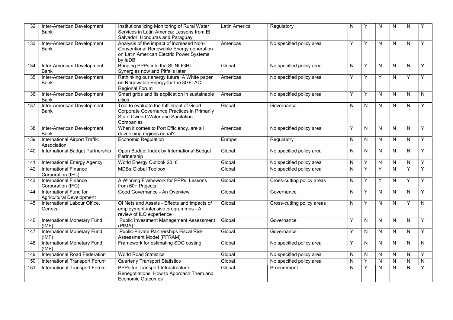| 132 | Inter-American Development<br>Bank                        | Institutionalizing Monitoring of Rural Water<br>Services in Latin America: Lessons from El<br>Salvador, Honduras and Paraguay               | Latin America | Regulatory                 | N | Υ            | N            | N         | N |   |
|-----|-----------------------------------------------------------|---------------------------------------------------------------------------------------------------------------------------------------------|---------------|----------------------------|---|--------------|--------------|-----------|---|---|
| 133 | Inter-American Development<br>Bank                        | Analysis of the impact of increased Non-<br>Conventional Renewable Energy generation<br>on Latin American Electric Power Systems<br>by IaDB | Americas      | No specified policy area   | Y | Y            | N            | N         | N | Y |
| 134 | Inter-American Development<br><b>Bank</b>                 | Bringing PPPs into the SUNLIGHT -<br>Synergies now and Pitfalls later                                                                       | Global        | No specified policy area   | N | Y            | N            | N         | N | Y |
| 135 | Inter-American Development<br>Bank                        | Rethinking our energy future: A White paper<br>on Renewable Energy for the 3GFLAC<br><b>Regional Forum</b>                                  | Americas      | No specified policy area   | Y | Y            | Y            | N         | Y | Y |
| 136 | Inter-American Development<br>Bank                        | Smart grids and its application in sustainable<br>cities                                                                                    | Americas      | No specified policy area   | Y | Y            | N            | N         | N | N |
| 137 | Inter-American Development<br>Bank                        | Tool to evaluate the fulfillment of Good<br>Corporate Governance Practices in Primarily<br>State Owned Water and Sanitation<br>Companies    | Global        | Governance                 | N | N            | N            | N         | N | Y |
| 138 | Inter-American Development<br>Bank                        | When it comes to Port Efficiency, are all<br>developing regions equal?                                                                      | Americas      | No specified policy area   | Υ | N            | N            | N         | N | Y |
| 139 | <b>International Airport Traffic</b><br>Association       | <b>Economic Regulation</b>                                                                                                                  | Europe        | Regulatory                 | N | N            | N            | N         | N | Y |
| 140 | International Budget Partnership                          | Open Budget Index by International Budget<br>Partnership                                                                                    | Global        | No specified policy area   | N | ${\sf N}$    | N            | N         | N | Y |
| 141 | <b>International Energy Agency</b>                        | World Energy Outlook 2018                                                                                                                   | Global        | No specified policy area   | N | Υ            | ${\sf N}$    | N         | N | Y |
| 142 | <b>International Finance</b><br>Corporation (IFC)         | <b>MDBs Global Toolbox</b>                                                                                                                  | Global        | No specified policy area   | N | Y            | Y            | N         | Y | Y |
| 143 | <b>International Finance</b><br>Corporation (IFC)         | A Winning Framework for PPPs: Lessons<br>from 60+ Projects                                                                                  | Global        | Cross-cutting policy areas | N | Υ            | Y            | N         | Y | Y |
| 144 | International Fund for<br><b>Agricultural Development</b> | Good Governance - An Overview                                                                                                               | Global        | Governance                 | Ν | Y            | N            | N         | N | Y |
| 145 | International Labour Office,<br>Geneva                    | Of Nets and Assets - Effects and impacts of<br>employment-intensive programmes - A<br>review of ILO experience                              | Global        | Cross-cutting policy areas | N | Y            | N            | N         | Y | N |
| 146 | International Monetary Fund<br>(IMF)                      | <b>Public Investment Management Assessment</b><br>(PIMA)                                                                                    | Global        | Governance                 | Υ | $\mathsf{N}$ | N            | ${\sf N}$ | N | Y |
| 147 | International Monetary Fund<br>(IMF)                      | Public-Private Partnerships Fiscal Risk<br>Assessment Model (PFRAM)                                                                         | Global        | Governance                 | Υ | N            | N            | N         | N | Y |
| 148 | <b>International Monetary Fund</b><br>(IMF)               | Framework for estimating SDG costing                                                                                                        | Global        | No specified policy area   | Y | ${\sf N}$    | N            | ${\sf N}$ | N | N |
| 149 | International Road Federation                             | <b>World Road Statistics</b>                                                                                                                | Global        | No specified policy area   | N | N            | N            | N         | N | Y |
| 150 | International Transport Forum                             | <b>Quarterly Transport Statistics</b>                                                                                                       | Global        | No specified policy area   | N | Y            | $\mathsf{N}$ | N         | N | N |
| 151 | International Transport Forum                             | PPPs for Transport Infrastructure:<br>Renegotiations, How to Approach Them and<br><b>Economic Outcomes</b>                                  | Global        | Procurement                | N | Y            | N            | N         | N | Y |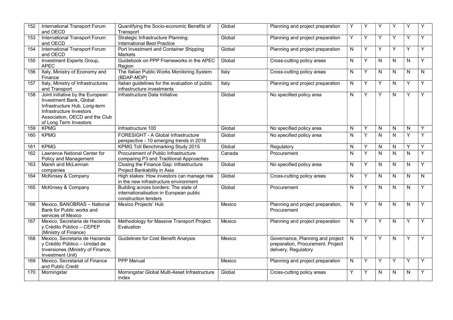| 152 | <b>International Transport Forum</b><br>and OECD                                                                                                                                     | Quantifying the Socio-economic Benefits of<br>Transport                                                  | Global | Planning and project preparation                                                              | Υ         | Y | Υ         | Y         | Υ            |   |
|-----|--------------------------------------------------------------------------------------------------------------------------------------------------------------------------------------|----------------------------------------------------------------------------------------------------------|--------|-----------------------------------------------------------------------------------------------|-----------|---|-----------|-----------|--------------|---|
| 153 | <b>International Transport Forum</b><br>and OECD                                                                                                                                     | Strategic Infrastructure Planning:<br><b>International Best Practice</b>                                 | Global | Planning and project preparation                                                              | Y         | Y | Y         | Y         | Y            | Y |
| 154 | <b>International Transport Forum</b><br>and OECD                                                                                                                                     | Port Investment and Container Shipping<br><b>Markets</b>                                                 | Global | Planning and project preparation                                                              | N         | Y | Y         | Y         | Y            | Y |
| 155 | Investment Experts Group,<br><b>APEC</b>                                                                                                                                             | Guidebook on PPP Frameworks in the APEC<br>Region                                                        | Global | Cross-cutting policy areas                                                                    | N         | Υ | ${\sf N}$ | ${\sf N}$ | N            | Y |
| 156 | Italy, Ministry of Economy and<br>Finance                                                                                                                                            | The Italian Public Works Monitoring System<br>(BDAP-MOP)                                                 | Italy  | Cross-cutting policy areas                                                                    | N         | Υ | N         | N         | N            | N |
| 157 | Italy, Ministry of Infrastructures<br>and Transport                                                                                                                                  | Italian guidelines for the evaluation of public<br>infrastructure investments                            | Italy  | Planning and project preparation                                                              | N         | Y | Y         | ${\sf N}$ | Y            | Y |
| 158 | Joint initiative by the European<br>Investment Bank, Global<br>Infrastructure Hub, Long-term<br>Infrastructure Investors<br>Association, OECD and the Club<br>of Long Term Investors | Infrastructure Data Initiative                                                                           | Global | No specified policy area                                                                      | N         | Y | Y         | N         | Y            | Y |
| 159 | <b>KPMG</b>                                                                                                                                                                          | Infrastructure 100                                                                                       | Global | No specified policy area                                                                      | N         | Y | N         | N         | N            | Y |
| 160 | <b>KPMG</b>                                                                                                                                                                          | FORESIGHT - A Global Infrastructure<br>perspective - 10 emerging trends in 2016                          | Global | No specified policy area                                                                      | N         | Υ | ${\sf N}$ | ${\sf N}$ | Y            | Y |
| 161 | <b>KPMG</b>                                                                                                                                                                          | <b>KPMG Toll Benchmarking Study 2015</b>                                                                 | Global | Regulatory                                                                                    | N         | Y | N         | N         | Y            | Y |
| 162 | <b>Lawrence National Center for</b><br>Policy and Management                                                                                                                         | Procurement of Public Infrastructure<br>comparing P3 and Traditional Approaches                          | Canada | Procurement                                                                                   | N         | Y | N         | ${\sf N}$ | N            | Y |
| 163 | Marsh and McLennan<br>companies                                                                                                                                                      | Closing the Finance Gap: Infrastructure<br>Project Bankability in Asia                                   | Global | No specified policy area                                                                      | N         | Y | N         | N         | N            | Y |
| 164 | McKinsey & Company                                                                                                                                                                   | High stakes: How investors can manage risk<br>in the new infrastructure environment                      | Global | Cross-cutting policy areas                                                                    | N         | Υ | ${\sf N}$ | N         | N            | N |
| 165 | McKinsey & Company                                                                                                                                                                   | Building across borders: The state of<br>internationalisation in European public<br>construction tenders | Global | Procurement                                                                                   | N         | Y | N         | ${\sf N}$ | N            | Y |
| 166 | Mexico, BANOBRAS - National<br>Bank for Public works and<br>services of Mexico                                                                                                       | Mexico Projects' Hub                                                                                     | Mexico | Planning and project preparation,<br>Procurement                                              | ${\sf N}$ | Y | ${\sf N}$ | ${\sf N}$ | $\mathsf{N}$ | Y |
| 167 | Mexico, Secretaria de Hacienda<br>y Crédito Público - CEPEP<br>(Ministry of Finance)                                                                                                 | Methodology for Massive Transport Project<br>Evaluation                                                  | Mexico | Planning and project preparation                                                              | N         | Y | Y         | ${\sf N}$ | Y            | Y |
| 168 | Mexico, Secretaria de Hacienda<br>y Crédito Público - Unidad de<br>Inversiones (Ministry of Finance,<br>Investment Unit)                                                             | Guidelines for Cost Benefit Analysis                                                                     | Mexico | Governance, Planning and project<br>preparation, Procurement, Project<br>delivery, Regulatory | N         | Y | Y         | ${\sf N}$ | Y            | Y |
| 169 | Mexico, Secretariat of Finance<br>and Public Credit                                                                                                                                  | <b>PPP Manual</b>                                                                                        | Mexico | Planning and project preparation                                                              | N         | Y | Y         | Y         | Y            | Y |
| 170 | Morningstar                                                                                                                                                                          | Morningstar Global Multi-Asset Infrastructure<br>Index                                                   | Global | Cross-cutting policy areas                                                                    | Υ         | Y | N         | N         | N            | Y |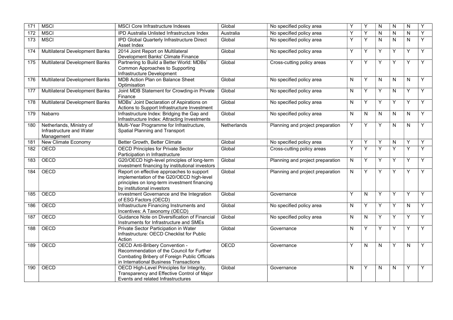| 171 | <b>MSCI</b>                                                        | <b>MSCI Core Infrastructure Indexes</b>                                                                                                                                | Global      | No specified policy area         | Y         | Y            | N              | N         | N            | Υ |
|-----|--------------------------------------------------------------------|------------------------------------------------------------------------------------------------------------------------------------------------------------------------|-------------|----------------------------------|-----------|--------------|----------------|-----------|--------------|---|
| 172 | <b>MSCI</b>                                                        | IPD Australia Unlisted Infrastructure Index                                                                                                                            | Australia   | No specified policy area         | Υ         | Y            | N              | N         | $\mathsf{N}$ | Y |
| 173 | <b>MSCI</b>                                                        | IPD Global Quarterly Infrastructure Direct<br>Asset Index                                                                                                              | Global      | No specified policy area         | Y         | Y            | $\mathsf{N}$   | ${\sf N}$ | N            | Y |
| 174 | <b>Multilateral Development Banks</b>                              | 2014 Joint Report on Multilateral<br>Development Banks' Climate Finance                                                                                                | Global      | No specified policy area         | Υ         | Υ            | Υ              | Y         | Υ            | Y |
| 175 | <b>Multilateral Development Banks</b>                              | Partnering to Build a Better World: MDBs'<br>Common Approaches to Supporting<br>Infrastructure Development                                                             | Global      | Cross-cutting policy areas       | Υ         | Y            | Y              | Y         | Y            | Y |
| 176 | <b>Multilateral Development Banks</b>                              | MDB Action Plan on Balance Sheet<br>Optimisation                                                                                                                       | Global      | No specified policy area         | ${\sf N}$ | Y            | $\overline{N}$ | N         | $\mathsf{N}$ | Y |
| 177 | <b>Multilateral Development Banks</b>                              | Joint MDB Statement for Crowding-in Private<br>Finance                                                                                                                 | Global      | No specified policy area         | ${\sf N}$ | Y            | Y              | N         | Y            | Y |
| 178 | <b>Multilateral Development Banks</b>                              | MDBs' Joint Declaration of Aspirations on<br>Actions to Support Infrastructure Investment                                                                              | Global      | No specified policy area         | N         | Y            | Υ              | Υ         | Y            | Y |
| 179 | Nabarro                                                            | Infrastructure Index: Bridging the Gap and<br>Infrastructure Index: Attracting Investments                                                                             | Global      | No specified policy area         | N         | N            | N              | N         | N            | Y |
| 180 | Netherlands, Ministry of<br>Infrastructure and Water<br>Management | Multi-Year Programme for Infrastructure,<br>Spatial Planning and Transport                                                                                             | Netherlands | Planning and project preparation | Y         | Y            | Y              | N         | $\mathsf{N}$ | Y |
| 181 | New Climate Economy                                                | Better Growth, Better Climate                                                                                                                                          | Global      | No specified policy area         | Υ         | Y            | Y              | ${\sf N}$ | Y            | Υ |
| 182 | <b>OECD</b>                                                        | <b>OECD Principles for Private Sector</b><br>Participation in Infrastructure                                                                                           | Global      | Cross-cutting policy areas       | Y         | Y            | Y              | Y         | Y            | Y |
| 183 | <b>OECD</b>                                                        | G20/OECD high-level principles of long-term<br>investment financing by institutional investors                                                                         | Global      | Planning and project preparation | N         | Y            | Y              | Y         | Y            | Y |
| 184 | OECD                                                               | Report on effective approaches to support<br>implementation of the G20/OECD high-level<br>principles on long-term investment financing<br>by institutional investors   | Global      | Planning and project preparation | N         | Y            | Y              | Y         | Y            | Y |
| 185 | <b>OECD</b>                                                        | Investment Governance and the Integration<br>of ESG Factors (OECD)                                                                                                     | Global      | Governance                       | Υ         | $\mathsf{N}$ | Y              | Y         | Y            | Y |
| 186 | <b>OECD</b>                                                        | Infrastructure Financing Instruments and<br>Incentives: A Taxonomy (OECD)                                                                                              | Global      | No specified policy area         | N         | Y            | Y              | Y         | N            | Y |
| 187 | OECD                                                               | Guidance Note on Diversification of Financial<br>Instruments for Infrastructure and SMEs                                                                               | Global      | No specified policy area         | N         | N            | Y              | Y         | Y            | Y |
| 188 | OECD                                                               | Private Sector Participation in Water<br>Infrastructure: OECD Checklist for Public<br>Action                                                                           | Global      | Governance                       | N         | Y            | Y              | Υ         | Y            | Y |
| 189 | <b>OECD</b>                                                        | OECD Anti-Bribery Convention -<br>Recommendation of the Council for Further<br>Combating Bribery of Foreign Public Officials<br>in International Business Transactions | <b>OECD</b> | Governance                       | Y         | N            | N              | Y         | N            | Y |
| 190 | <b>OECD</b>                                                        | OECD High-Level Principles for Integrity,<br>Transparency and Effective Control of Major<br>Events and related Infrastructures                                         | Global      | Governance                       | N         | Y            | N              | N         | Y            | Y |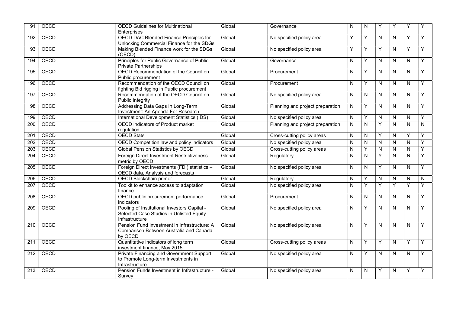| 191              | <b>OECD</b> | <b>OECD Guidelines for Multinational</b><br>Enterprises                                                    | Global | Governance                       | $\mathsf{N}$ | $\mathsf{N}$ | Y                       | Y            | Y            | Υ |
|------------------|-------------|------------------------------------------------------------------------------------------------------------|--------|----------------------------------|--------------|--------------|-------------------------|--------------|--------------|---|
| 192              | <b>OECD</b> | <b>OECD DAC Blended Finance Principles for</b><br>Unlocking Commercial Finance for the SDGs                | Global | No specified policy area         | Υ            | Y            | N                       | N            | Y            | Y |
| 193              | OECD        | Making Blended Finance work for the SDGs<br>(OECD)                                                         | Global | No specified policy area         | Υ            | Y            | Y                       | N            | Y            | Y |
| 194              | OECD        | Principles for Public Governance of Public-<br><b>Private Partnerships</b>                                 | Global | Governance                       | $\mathsf{N}$ | Y            | N                       | $\mathsf{N}$ | N            | Y |
| 195              | <b>OECD</b> | OECD Recommendation of the Council on<br>Public procurement                                                | Global | Procurement                      | N            | Y            | $\overline{\mathsf{N}}$ | N            | N            | Y |
| 196              | OECD        | Recommendation of the OECD Council on<br>fighting Bid rigging in Public procurement                        | Global | Procurement                      | N            | Y            | N                       | N            | N            | Y |
| 197              | OECD        | Recommendation of the OECD Council on<br>Public Integrity                                                  | Global | No specified policy area         | N            | N            | N                       | N            | N            | Y |
| 198              | <b>OECD</b> | Addressing Data Gaps In Long-Term<br>Investment: An Agenda For Research                                    | Global | Planning and project preparation | N            | Y            | $\overline{\mathsf{N}}$ | N            | N            | Υ |
| 199              | <b>OECD</b> | International Development Statistics (IDS)                                                                 | Global | No specified policy area         | $\mathsf{N}$ | Y            | N                       | ${\sf N}$    | $\mathsf{N}$ | Y |
| 200              | OECD        | OECD indicators of Product market<br>regulation                                                            | Global | Planning and project preparation | N            | $\mathsf{N}$ | Y                       | $\mathsf{N}$ | N            | N |
| 201              | OECD        | <b>OECD Stats</b>                                                                                          | Global | Cross-cutting policy areas       | N            | N            | Y                       | N            | Y            | Y |
| 202              | OECD        | OECD Competition law and policy indicators                                                                 | Global | No specified policy area         | N            | $\mathsf{N}$ | N                       | N            | N            | Y |
| $\overline{203}$ | OECD        | <b>Global Pension Statistics by OECD</b>                                                                   | Global | Cross-cutting policy areas       | N            | Y            | N                       | N            | $\mathsf{N}$ | Y |
| 204              | OECD        | Foreign Direct Investment Restrictiveness<br>metric by OECD                                                | Global | Regulatory                       | N            | $\mathsf{N}$ | Y                       | $\mathsf{N}$ | N            | Y |
| $\overline{205}$ | OECD        | Foreign Direct Investments (FDI) statistics -<br>OECD data, Analysis and forecasts                         | Global | No specified policy area         | ${\sf N}$    | ${\sf N}$    | Y                       | ${\sf N}$    | N            | Y |
| 206              | <b>OECD</b> | OECD Blockchain primer                                                                                     | Global | Regulatory                       | N            | Y            | N                       | N            | N            | N |
| $\overline{207}$ | <b>OECD</b> | Toolkit to enhance access to adaptation<br>finance                                                         | Global | No specified policy area         | N            | Y            | Y                       | Υ            | Y            | Y |
| 208              | OECD        | OECD public procurement performance<br>indicators                                                          | Global | Procurement                      | N            | $\mathsf{N}$ | N                       | N            | N            | Y |
| 209              | OECD        | Pooling of Institutional Investors Capital -<br>Selected Case Studies in Unlisted Equity<br>Infrastructure | Global | No specified policy area         | N            | Y            | N                       | N            | N            | Y |
| 210              | OECD        | Pension Fund Investment in Infrastructure: A<br>Comparison Between Australia and Canada<br>by OECD         | Global | No specified policy area         | N            | Y            | N                       | N            | N            | Y |
| 211              | OECD        | Quantitative indicators of long term<br>investment finance, May 2015                                       | Global | Cross-cutting policy areas       | N            | Y            | Y                       | N            | Y            | Y |
| $\overline{212}$ | <b>OECD</b> | Private Financing and Government Support<br>to Promote Long-term Investments in<br>Infrastructure          | Global | No specified policy area         | N            | Υ            | N                       | N            | N            | Y |
| $\overline{213}$ | <b>OECD</b> | Pension Funds Investment in Infrastructure -<br>Survey                                                     | Global | No specified policy area         | ${\sf N}$    | ${\sf N}$    | Y                       | $\mathsf{N}$ | Υ            | Y |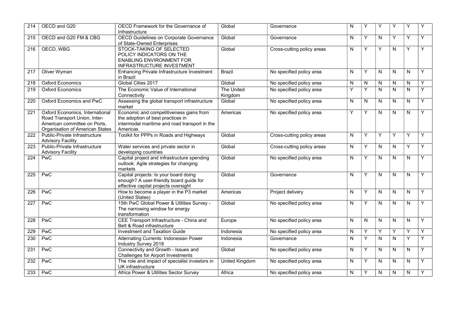| 214 | OECD and G20                                                                                                                              | OECD Framework for the Governance of<br>Infrastructure                                                                                    | Global                | Governance                 | N | Y | Y | Y            | Y            | Υ |
|-----|-------------------------------------------------------------------------------------------------------------------------------------------|-------------------------------------------------------------------------------------------------------------------------------------------|-----------------------|----------------------------|---|---|---|--------------|--------------|---|
| 215 | OECD and G20 FM & CBG                                                                                                                     | OECD Guidelines on Corporate Governance<br>of State-Owned Enterprises                                                                     | Global                | Governance                 | N | Υ | N | Y            | Y            | Y |
| 216 | OECD, WBG                                                                                                                                 | STOCK-TAKING OF SELECTED<br>POLICY INDICATORS ON THE<br><b>ENABLING ENVIRONMENT FOR</b><br>INFRASTRUCTURE INVESTMENT                      | Global                | Cross-cutting policy areas | N | Y | Y | N            | Y            | Υ |
| 217 | Oliver Wyman                                                                                                                              | <b>Enhancing Private Infrastructure Investment</b><br>in Brazil                                                                           | <b>Brazil</b>         | No specified policy area   | N | Y | N | N            | N            | Y |
| 218 | <b>Oxford Economics</b>                                                                                                                   | Global Cities 2017                                                                                                                        | Global                | No specified policy area   | N | N | N | N            | N            | Y |
| 219 | <b>Oxford Economics</b>                                                                                                                   | The Economic Value of International<br>Connectivity                                                                                       | The United<br>Kingdom | No specified policy area   | Y | Y | N | N            | N            | Y |
| 220 | Oxford Economics and PwC                                                                                                                  | Assessing the global transport infrastructure<br>market                                                                                   | Global                | No specified policy area   | N | N | N | N            | N            | Y |
| 221 | <b>Oxford Economics, International</b><br>Road Transport Union, Inter-<br>American committee on Ports,<br>Organisation of American States | Economic and competitiveness gains from<br>the adoption of best practices in<br>intermodal maritime and road transport in the<br>Americas | Americas              | No specified policy area   | Y | Y | N | $\mathsf{N}$ | N            | Y |
| 222 | Public-Private Infrastructure<br><b>Advisory Facility</b>                                                                                 | Toolkit for PPPs in Roads and Highways                                                                                                    | Global                | Cross-cutting policy areas | N | Y | Υ | Υ            | Y            | Y |
| 223 | Public-Private Infrastructure<br><b>Advisory Facility</b>                                                                                 | Water services and private sector in<br>developing countries                                                                              | Global                | Cross-cutting policy areas | N | Υ | N | ${\sf N}$    | Υ            | Y |
| 224 | PwC                                                                                                                                       | Capital project and infrastructure spending<br>outlook: Agile strategies for changing<br>markets                                          | Global                | No specified policy area   | N | Y | N | $\mathsf{N}$ | N            | Y |
| 225 | <b>PwC</b>                                                                                                                                | Capital projects: Is your board doing<br>enough? A user-friendly board guide for<br>effective capital projects oversight                  | Global                | Governance                 | N | Y | N | $\mathsf{N}$ | N            | Y |
| 226 | <b>PwC</b>                                                                                                                                | How to become a player in the P3 market<br>(United States)                                                                                | Americas              | Project delivery           | N | Y | N | N            | N            | Y |
| 227 | PwC                                                                                                                                       | 15th PwC Global Power & Utilities Survey -<br>The narrowing window for energy<br>transformation                                           | Global                | No specified policy area   | N | Y | N | N            | N            | Y |
| 228 | PwC                                                                                                                                       | CEE Transport Infrastructure - China and<br>Belt & Road infrastructure                                                                    | Europe                | No specified policy area   | N | N | N | N            | N            | Y |
| 229 | <b>PwC</b>                                                                                                                                | <b>Investment and Taxation Guide</b>                                                                                                      | Indonesia             | No specified policy area   | N | Y | Υ | Y            | Υ            | Y |
| 230 | <b>PwC</b>                                                                                                                                | Alternating Currents: Indonesian Power<br>Industry Survey 2018                                                                            | Indonesia             | Governance                 | N | Υ | N | N            | Y            | Y |
| 231 | <b>PwC</b>                                                                                                                                | Connectivity and Growth - Issues and<br>Challenges for Airport Investments                                                                | Global                | No specified policy area   | N | Y | N | $\mathsf{N}$ | $\mathsf{N}$ | Y |
| 232 | <b>PwC</b>                                                                                                                                | The role and impact of specialist investors in<br>UK infrastructure                                                                       | <b>United Kingdom</b> | No specified policy area   | N | Y | N | N            | N            | Y |
| 233 | <b>PwC</b>                                                                                                                                | Africa Power & Utilities Sector Survey                                                                                                    | Africa                | No specified policy area   | N | Y | N | N            | N            | Υ |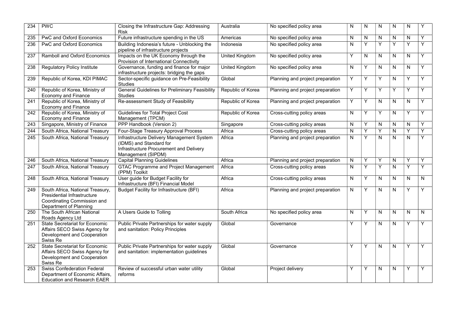| 234 | <b>PWC</b>                                                                                                                      | Closing the Infrastructure Gap: Addressing<br><b>Risk</b>                                                                             | Australia             | No specified policy area         | N | N | N | N         | N                       |   |
|-----|---------------------------------------------------------------------------------------------------------------------------------|---------------------------------------------------------------------------------------------------------------------------------------|-----------------------|----------------------------------|---|---|---|-----------|-------------------------|---|
| 235 | <b>PwC and Oxford Economics</b>                                                                                                 | Future infrastructure spending in the US                                                                                              | Americas              | No specified policy area         | N | N | N | N         | N                       | Y |
| 236 | <b>PwC and Oxford Economics</b>                                                                                                 | Building Indonesia's future - Unblocking the<br>pipeline of infrastructure projects                                                   | Indonesia             | No specified policy area         | N | Υ | Y | Y         | Υ                       | Y |
| 237 | <b>Ramboll and Oxford Economics</b>                                                                                             | Impacts on the UK Economy through the<br>Provision of International Connectivity                                                      | <b>United Kingdom</b> | No specified policy area         | Υ | N | N | N         | N                       | Y |
| 238 | <b>Regulatory Policy Institute</b>                                                                                              | Governance, funding and finance for major<br>infrastructure projects: bridging the gaps                                               | United Kingdom        | No specified policy area         | N | Y | N | N         | N                       | Y |
| 239 | Republic of Korea, KDI PIMAC                                                                                                    | Sector-specific guidance on Pre-Feasibility<br>Studies                                                                                | Global                | Planning and project preparation | Y | Y | Υ | N         | Y                       | Y |
| 240 | Republic of Korea, Ministry of<br><b>Economy and Finance</b>                                                                    | <b>General Guidelines for Preliminary Feasibility</b><br><b>Studies</b>                                                               | Republic of Korea     | Planning and project preparation | Y | Y | Y | Y         | Y                       | Y |
| 241 | Republic of Korea, Ministry of<br><b>Economy and Finance</b>                                                                    | Re-assessment Study of Feasibility                                                                                                    | Republic of Korea     | Planning and project preparation | Υ | Υ | N | N         | N                       | Y |
| 242 | Republic of Korea, Ministry of<br><b>Economy and Finance</b>                                                                    | <b>Guidelines for Total Project Cost</b><br>Management (TPCM)                                                                         | Republic of Korea     | Cross-cutting policy areas       | N | Y | Y | N         | Y                       | Y |
| 243 | Singapore, Ministry of Finance                                                                                                  | PPP Handbook (Version 2)                                                                                                              | Singapore             | Cross-cutting policy areas       | N | Y | N | N         | N                       | Y |
| 244 | South Africa, National Treasury                                                                                                 | Four-Stage Treasury Approval Process                                                                                                  | Africa                | Cross-cutting policy areas       | N | Y | Y | N         | Y                       | Y |
| 245 | South Africa, National Treasury                                                                                                 | Infrastructure Delivery Management System<br>(IDMS) and Standard for<br>Infrastructure Procurement and Delivery<br>Management (SIPDM) | Africa                | Planning and project preparation | N | Y | N | N         | N                       | Y |
| 246 | South Africa, National Treasury                                                                                                 | <b>Capital Planning Guidelines</b>                                                                                                    | Africa                | Planning and project preparation | N | Υ | Υ | ${\sf N}$ | Υ                       | Y |
| 247 | South Africa, National Treasury                                                                                                 | <b>GTAC Programme and Project Management</b><br>(PPM) Toolkit                                                                         | Africa                | Cross-cutting policy areas       | N | Ÿ | Ÿ | N         | Y                       | Y |
| 248 | South Africa, National Treasury                                                                                                 | User guide for Budget Facility for<br>Infrastructure (BFI) Financial Model                                                            | Africa                | Cross-cutting policy areas       | N | Y | N | N         | N                       | N |
| 249 | South Africa, National Treasury,<br><b>Presidential Infrastructure</b><br>Coordinating Commission and<br>Department of Planning | <b>Budget Facility for Infrastructure (BFI)</b>                                                                                       | Africa                | Planning and project preparation | Ν | Y | N | N         | Y                       | Y |
| 250 | The South African National<br>Roads Agency Ltd                                                                                  | A Users Guide to Tolling                                                                                                              | South Africa          | No specified policy area         | N | Y | N | N         | $\overline{\mathsf{N}}$ | N |
| 251 | <b>State Secretariat for Economic</b><br>Affairs SECO Swiss Agency for<br>Development and Cooperation<br>Swiss Re               | Public Private Partnerships for water supply<br>and sanitation: Policy Principles                                                     | Global                | Governance                       | Υ | Y | N | N         | Y                       | Υ |
| 252 | <b>State Secretariat for Economic</b><br>Affairs SECO Swiss Agency for<br>Development and Cooperation<br>Swiss Re               | Public Private Partnerships for water supply<br>and sanitation: implementation guidelines                                             | Global                | Governance                       | Υ | Y | N | N         | Y                       | Y |
| 253 | <b>Swiss Confederation Federal</b><br>Department of Economic Affairs,<br><b>Education and Research EAER</b>                     | Review of successful urban water utility<br>reforms                                                                                   | Global                | Project delivery                 | Υ | Y | N | N         | Y                       | Y |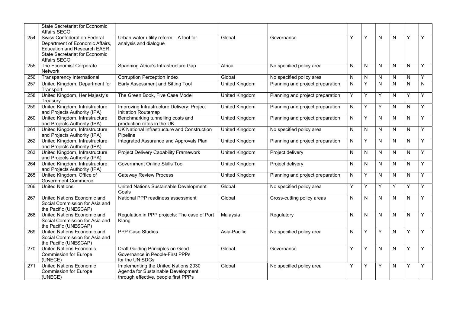|                  | State Secretariat for Economic<br>Affairs SECO                                                                                                                       |                                                                                                                    |                       |                                  |   |           |   |                         |              |   |
|------------------|----------------------------------------------------------------------------------------------------------------------------------------------------------------------|--------------------------------------------------------------------------------------------------------------------|-----------------------|----------------------------------|---|-----------|---|-------------------------|--------------|---|
| 254              | <b>Swiss Confederation Federal</b><br>Department of Economic Affairs,<br><b>Education and Research EAER</b><br><b>State Secretariat for Economic</b><br>Affairs SECO | Urban water utility reform - A tool for<br>analysis and dialogue                                                   | Global                | Governance                       | Υ | Y         | N | N                       | Y            | Y |
| 255              | The Economist Corporate<br>Network                                                                                                                                   | Spanning Africa's Infrastructure Gap                                                                               | Africa                | No specified policy area         | N | ${\sf N}$ | N | ${\sf N}$               | ${\sf N}$    | Y |
| 256              | Transparency International                                                                                                                                           | <b>Corruption Perception Index</b>                                                                                 | Global                | No specified policy area         | N | N         | N | N                       | $\mathsf{N}$ | Y |
| 257              | United Kingdom, Department for<br>Transport                                                                                                                          | Early Assessment and Sifting Tool                                                                                  | <b>United Kingdom</b> | Planning and project preparation | N | Y         | N | $\overline{\mathsf{N}}$ | $\mathsf{N}$ | N |
| 258              | United Kingdom, Her Majesty's<br>Treasury                                                                                                                            | The Green Book, Five Case Model                                                                                    | <b>United Kingdom</b> | Planning and project preparation | Y | Y         | Y | N                       | Y            | Y |
| 259              | United Kingdom, Infrastructure<br>and Projects Authority (IPA)                                                                                                       | Improving Infrastructure Delivery: Project<br>Initiation Routemap                                                  | <b>United Kingdom</b> | Planning and project preparation | N | Y         | Y | N                       | $\mathsf{N}$ | Y |
| 260              | United Kingdom, Infrastructure<br>and Projects Authority (IPA)                                                                                                       | Benchmarking tunnelling costs and<br>production rates in the UK                                                    | <b>United Kingdom</b> | Planning and project preparation | N | Y         | N | N                       | N            | Y |
| 261              | United Kingdom, Infrastructure<br>and Projects Authority (IPA)                                                                                                       | UK National Infrastructure and Construction<br>Pipeline                                                            | <b>United Kingdom</b> | No specified policy area         | N | ${\sf N}$ | N | ${\sf N}$               | N            | Y |
| 262              | United Kingdom, Infrastructure<br>and Projects Authority (IPA)                                                                                                       | Integrated Assurance and Approvals Plan                                                                            | <b>United Kingdom</b> | Planning and project preparation | N | Y         | N | N                       | N            | Y |
| 263              | United Kingdom, Infrastructure<br>and Projects Authority (IPA)                                                                                                       | <b>Project Delivery Capability Framework</b>                                                                       | <b>United Kingdom</b> | Project delivery                 | N | N         | N | N                       | $\mathsf{N}$ | Y |
| 264              | United Kingdom, Infrastructure<br>and Projects Authority (IPA)                                                                                                       | <b>Government Online Skills Tool</b>                                                                               | <b>United Kingdom</b> | Project delivery                 | N | N         | N | N                       | N            | Y |
| 265              | United Kingdom, Office of<br><b>Government Commerce</b>                                                                                                              | <b>Gateway Review Process</b>                                                                                      | <b>United Kingdom</b> | Planning and project preparation | N | Y         | Ν | ${\sf N}$               | ${\sf N}$    | Y |
| 266              | <b>United Nations</b>                                                                                                                                                | United Nations Sustainable Development<br>Goals                                                                    | Global                | No specified policy area         | Y | Y         | Y | Y                       | Y            | Y |
| 267              | United Nations Economic and<br>Social Commission for Asia and<br>the Pacific (UNESCAP)                                                                               | National PPP readiness assessment                                                                                  | Global                | Cross-cutting policy areas       | N | ${\sf N}$ | N | ${\sf N}$               | $\mathsf{N}$ | Y |
| 268              | United Nations Economic and<br>Social Commission for Asia and<br>the Pacific (UNESCAP)                                                                               | Regulation in PPP projects: The case of Port<br>Klang                                                              | Malaysia              | Regulatory                       | N | N         | N | N                       | N            | Y |
| 269              | United Nations Economic and<br>Social Commission for Asia and<br>the Pacific (UNESCAP)                                                                               | <b>PPP Case Studies</b>                                                                                            | Asia-Pacific          | No specified policy area         | N | Y         | Υ | N                       | Y            | Y |
| 270              | <b>United Nations Economic</b><br><b>Commission for Europe</b><br>(UNECE)                                                                                            | Draft Guiding Principles on Good<br>Governance in People-First PPPs<br>for the UN SDGs                             | Global                | Governance                       | Y | Y         | N | N                       | Y            | Y |
| $\overline{271}$ | United Nations Economic<br><b>Commission for Europe</b><br>(UNECE)                                                                                                   | Implementing the United Nations 2030<br>Agenda for Sustainable Development<br>through effective, people first PPPs | Global                | No specified policy area         | Y | Υ         | Y | ${\sf N}$               | Υ            | Y |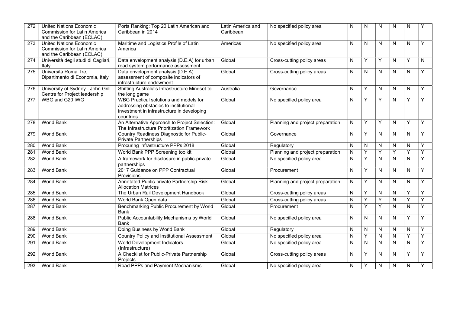| 272              | <b>United Nations Economic</b>      | Ports Ranking: Top 20 Latin American and                          | Latin America and | No specified policy area         | N         | N              | N            | N              | N            |              |
|------------------|-------------------------------------|-------------------------------------------------------------------|-------------------|----------------------------------|-----------|----------------|--------------|----------------|--------------|--------------|
|                  | <b>Commission for Latin America</b> | Caribbean in 2014                                                 | Caribbean         |                                  |           |                |              |                |              |              |
|                  | and the Caribbean (ECLAC)           |                                                                   |                   |                                  |           |                |              |                |              |              |
| 273              | <b>United Nations Economic</b>      | Maritime and Logistics Profile of Latin                           | Americas          | No specified policy area         | N         | N              | N            | N              | N            | Y            |
|                  | <b>Commission for Latin America</b> | America                                                           |                   |                                  |           |                |              |                |              |              |
|                  | and the Caribbean (ECLAC)           |                                                                   |                   |                                  |           |                |              |                |              |              |
| $\overline{274}$ | Università degli studi di Cagliari, | Data envelopment analysis (D.E.A) for urban                       | Global            | Cross-cutting policy areas       | ${\sf N}$ | Y              | Y            | N              | Y            | $\mathsf{N}$ |
|                  | Italy                               | road system performance assessment                                |                   |                                  |           |                |              |                |              |              |
| 275              | Università Roma Tre,                | Data envelopment analysis (D.E.A)                                 | Global            | Cross-cutting policy areas       | N         | N              | N            | N              | N            | Y            |
|                  | Dipartimento di Economia, Italy     | assessment of composite indicators of                             |                   |                                  |           |                |              |                |              |              |
|                  |                                     | infrastructure endowment                                          |                   |                                  |           |                |              |                |              |              |
| 276              | University of Sydney - John Grill   | Shifting Australia's Infrastructure Mindset to                    | Australia         | Governance                       | N         | Y              | N            | N              | N            | Y            |
|                  | Centre for Project leadership       | the long game                                                     |                   |                                  |           |                |              |                |              |              |
| 277              | WBG and G20 IWG                     | WBG Practical solutions and models for                            | Global            | No specified policy area         | N         | Y              | Υ            | N              | Y            | Y            |
|                  |                                     | addressing obstacles to institutional                             |                   |                                  |           |                |              |                |              |              |
|                  |                                     | investment in infrastructure in developing<br>countries           |                   |                                  |           |                |              |                |              |              |
| 278              | <b>World Bank</b>                   | An Alternative Approach to Project Selection:                     | Global            | Planning and project preparation | N         | Y              | Υ            | N              | Υ            | Y            |
|                  |                                     | The Infrastructure Prioritization Framework                       |                   |                                  |           |                |              |                |              |              |
| 279              | <b>World Bank</b>                   | Country Readiness Diagnostic for Public-                          | Global            | Governance                       | N         | Y              | N            | N              | N            | Y            |
|                  |                                     | <b>Private Partnerships</b>                                       |                   |                                  |           |                |              |                |              |              |
| 280              | <b>World Bank</b>                   | Procuring Infrastructure PPPs 2018                                | Global            | Regulatory                       | N         | N              | N            | N              | N            | Y            |
| 281              | <b>World Bank</b>                   | World Bank PPP Screening toolkit                                  | Global            | Planning and project preparation | N         | Y              | Y            | Y              | Y            | Y            |
| 282              | <b>World Bank</b>                   | A framework for disclosure in public-private                      | Global            | No specified policy area         | N         | Y              | N            | N              | $\mathsf{N}$ | Y            |
|                  |                                     | partnerships                                                      |                   |                                  |           |                |              |                |              |              |
| 283              | World Bank                          | 2017 Guidance on PPP Contractual                                  | Global            | Procurement                      | N         | Y              | N            | N              | N            | Y            |
|                  |                                     | Provisions                                                        |                   |                                  |           |                |              |                |              |              |
| 284              | <b>World Bank</b>                   | Annotated Public-private Partnership Risk                         | Global            | Planning and project preparation | N         | Y              | N            | N              | N            | Y            |
|                  | <b>World Bank</b>                   | <b>Allocation Matrices</b><br>The Urban Rail Development Handbook | Global            |                                  |           |                |              |                | Y            | Y            |
| 285              |                                     |                                                                   |                   | Cross-cutting policy areas       | N         | Y              | $\mathsf{N}$ | N              |              |              |
| 286              | <b>World Bank</b>                   | World Bank Open data                                              | Global            | Cross-cutting policy areas       | ${\sf N}$ | $\overline{Y}$ | Y            | $\overline{N}$ | Y            | Y            |
| 287              | <b>World Bank</b>                   | Benchmarking Public Procurement by World                          | Global            | Procurement                      | N         | Y              | Y            | N              | N            | Y            |
|                  |                                     | Bank                                                              |                   |                                  |           |                |              |                |              |              |
| 288              | <b>World Bank</b>                   | Public Accountability Mechanisms by World<br>Bank                 | Global            | No specified policy area         | N         | N              | N            | N              | Y            | Y            |
| 289              | <b>World Bank</b>                   | Doing Business by World Bank                                      | Global            | Regulatory                       | N         | N              | N            | N              | N            | Y            |
|                  | <b>World Bank</b>                   |                                                                   | Global            |                                  |           | Y              |              |                |              | Y            |
| 290              |                                     | <b>Country Policy and Institutional Assessment</b>                |                   | No specified policy area         | N         |                | $\mathsf{N}$ | ${\sf N}$      | Υ            |              |
| 291              | <b>World Bank</b>                   | <b>World Development Indicators</b><br>(Infrastructure)           | Global            | No specified policy area         | N         | $\mathsf{N}$   | N            | N              | N            | Y            |
| 292              | World Bank                          | A Checklist for Public-Private Partnership                        | Global            | Cross-cutting policy areas       | N         | Y              | N            | N              | Y            | Y            |
|                  |                                     | Projects                                                          |                   |                                  |           |                |              |                |              |              |
| 293              | World Bank                          | Road PPPs and Payment Mechanisms                                  | Global            | No specified policy area         | N         | Y              | N            | N              | N            | Y            |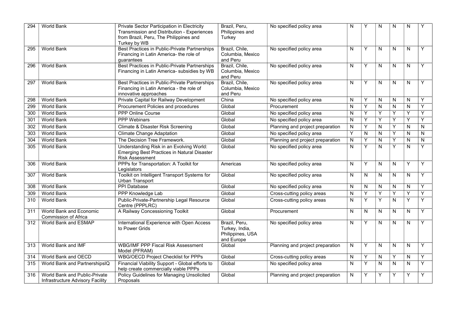| 294 | <b>World Bank</b>                                                 | Private Sector Participation in Electricity<br>Transmission and Distribution - Experiences<br>from Brazil, Peru, The Philippines and<br>Turkey by WB | Brazil, Peru,<br>Philippines and<br>Turkey                        | No specified policy area         | N         | Y | N                       | N         | N |              |
|-----|-------------------------------------------------------------------|------------------------------------------------------------------------------------------------------------------------------------------------------|-------------------------------------------------------------------|----------------------------------|-----------|---|-------------------------|-----------|---|--------------|
| 295 | <b>World Bank</b>                                                 | Best Practices in Public-Private Partnerships<br>Financing in Latin America- the role of<br>quarantees                                               | Brazil, Chile,<br>Columbia, Mexico<br>and Peru                    | No specified policy area         | N         | Y | N                       | N         | N | Y            |
| 296 | <b>World Bank</b>                                                 | Best Practices in Public-Private Partnerships<br>Financing in Latin America- subsidies by WB                                                         | Brazil, Chile,<br>Columbia, Mexico<br>and Peru                    | No specified policy area         | N         | Y | N                       | N         | N | Y            |
| 297 | <b>World Bank</b>                                                 | Best Practices in Public-Private Partnerships<br>Financing in Latin America - the role of<br>innovative approaches                                   | Brazil, Chile,<br>Columbia, Mexico<br>and Peru                    | No specified policy area         | N         | Y | N                       | N         | N | Y            |
| 298 | <b>World Bank</b>                                                 | Private Capital for Railway Development                                                                                                              | China                                                             | No specified policy area         | N         | Y | N                       | N         | N | Y            |
| 299 | <b>World Bank</b>                                                 | Procurement Policies and procedures                                                                                                                  | Global                                                            | Procurement                      | N         | Y | N                       | N         | N | Y            |
| 300 | <b>World Bank</b>                                                 | <b>PPP Online Course</b>                                                                                                                             | Global                                                            | No specified policy area         | N         | Y | Y                       | Y         | Υ | Y            |
| 301 | World Bank                                                        | <b>PPP Webinars</b>                                                                                                                                  | Global                                                            | No specified policy area         | N         | Y | Y                       | Y         | Y | Y            |
| 302 | <b>World Bank</b>                                                 | <b>Climate &amp; Disaster Risk Screening</b>                                                                                                         | Global                                                            | Planning and project preparation | N         | Y | $\mathsf{N}$            | Y         | N | N            |
| 303 | <b>World Bank</b>                                                 | <b>Climate Change Adaptation</b>                                                                                                                     | Global                                                            | No specified policy area         | Y         | N | N                       | Y         | N | N            |
| 304 | <b>World Bank</b>                                                 | The Decision Tree Framework.                                                                                                                         | Global                                                            | Planning and project preparation | N         | Y | $\overline{\mathsf{N}}$ | Y         | N | $\mathsf{N}$ |
| 305 | World Bank                                                        | Understanding Risk in an Evolving World:<br>Emerging Best Practices in Natural Disaster<br><b>Risk Assessment</b>                                    | Global                                                            | No specified policy area         | N         | Y | N                       | Y         | N | Y            |
| 306 | <b>World Bank</b>                                                 | PPPs for Transportation: A Toolkit for<br>Legislators                                                                                                | Americas                                                          | No specified policy area         | ${\sf N}$ | Y | N                       | ${\sf N}$ | Y | Y            |
| 307 | <b>World Bank</b>                                                 | Toolkit on Intelligent Transport Systems for<br>Urban Transport                                                                                      | Global                                                            | No specified policy area         | N         | N | N                       | N         | N | Y            |
| 308 | World Bank                                                        | <b>PPI Database</b>                                                                                                                                  | Global                                                            | No specified policy area         | N         | N | N                       | N         | N | Y            |
| 309 | <b>World Bank</b>                                                 | PPP Knowledge Lab                                                                                                                                    | Global                                                            | Cross-cutting policy areas       | N         | Y | Y                       | Ÿ         | Y | Υ            |
| 310 | <b>World Bank</b>                                                 | Public-Private-Partnership Legal Resource<br>Centre (PPPLRC)                                                                                         | Global                                                            | Cross-cutting policy areas       | N         | Y | Y                       | N         | Y | Y            |
| 311 | World Bank and Economic<br>Commission of Africa                   | A Railway Concessioning Toolkit                                                                                                                      | Global                                                            | Procurement                      | N         | N | N                       | N         | N | Y            |
| 312 | World Bank and ESMAP                                              | International Experience with Open Access<br>to Power Grids                                                                                          | Brazil, Peru,<br>Turkey, India,<br>Philippines, USA<br>and Europe | No specified policy area         | N         | Y | N                       | N         | N | Y            |
| 313 | World Bank and IMF                                                | <b>WBG/IMF PPP Fiscal Risk Assessment</b><br>Model (PFRAM)                                                                                           | Global                                                            | Planning and project preparation | N         | Y | N                       | N         | N | Y            |
| 314 | World Bank and OECD                                               | <b>WBG/OECD Project Checklist for PPPs</b>                                                                                                           | Global                                                            | Cross-cutting policy areas       | N         | Y | N                       | Y         | N | Y            |
| 315 | World Bank and PartnershipsIQ                                     | Financial Viability Support - Global efforts to<br>help create commercially viable PPPs                                                              | Global                                                            | No specified policy area         | N         | Y | N                       | ${\sf N}$ | N | Y            |
| 316 | World Bank and Public-Private<br>Infrastructure Advisory Facility | Policy Guidelines for Managing Unsolicited<br>Proposals                                                                                              | Global                                                            | Planning and project preparation | N         | Υ | Y                       | Υ         | Υ | Y            |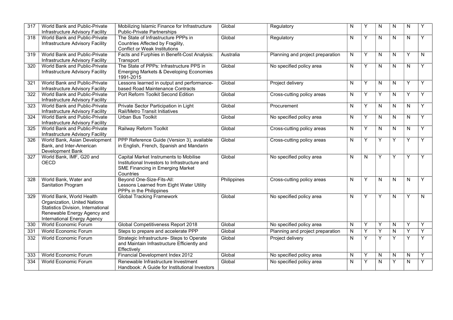| 317              | World Bank and Public-Private<br>Infrastructure Advisory Facility                                                                                            | Mobilizing Islamic Finance for Infrastructure<br><b>Public-Private Partnerships</b>                                                             | Global      | Regulatory                       | N         | Y | N         | N            | N            | Y |
|------------------|--------------------------------------------------------------------------------------------------------------------------------------------------------------|-------------------------------------------------------------------------------------------------------------------------------------------------|-------------|----------------------------------|-----------|---|-----------|--------------|--------------|---|
| 318              | World Bank and Public-Private<br>Infrastructure Advisory Facility                                                                                            | The State of Infrastructure PPPs in<br>Countries Affected by Fragility,<br><b>Conflict or Weak Institutions</b>                                 | Global      | Regulatory                       | N         | Y | N         | $\mathsf{N}$ | N.           | Y |
| 319              | <b>World Bank and Public-Private</b><br>Infrastructure Advisory Facility                                                                                     | Facts and Furphies in Benefit-Cost Analysis:<br>Transport                                                                                       | Australia   | Planning and project preparation | N         | Y | N         | N            | Υ            | N |
| 320              | World Bank and Public-Private<br>Infrastructure Advisory Facility                                                                                            | The State of PPPs: Infrastructure PPS in<br>Emerging Markets & Developing Economies<br>1991-2015                                                | Global      | No specified policy area         | N         | Y | N         | N            | N            | Y |
| 321              | World Bank and Public-Private<br>Infrastructure Advisory Facility                                                                                            | Lessons learned in output and performance-<br>based Road Maintenance Contracts                                                                  | Global      | Project delivery                 | N         | Υ | N         | N            | Υ            | Y |
| 322              | World Bank and Public-Private<br>Infrastructure Advisory Facility                                                                                            | Port Reform Toolkit Second Edition                                                                                                              | Global      | Cross-cutting policy areas       | N         | Y | Y         | N            | Y            | Υ |
| 323              | World Bank and Public-Private<br>Infrastructure Advisory Facility                                                                                            | Private Sector Participation in Light<br>Rail/Metro Transit Initiatives                                                                         | Global      | Procurement                      | N         | Y | N         | N            | N.           | Y |
| $\overline{324}$ | World Bank and Public-Private<br>Infrastructure Advisory Facility                                                                                            | <b>Urban Bus Toolkit</b>                                                                                                                        | Global      | No specified policy area         | N         | Y | N         | N            | N.           | Υ |
| 325              | World Bank and Public-Private<br>Infrastructure Advisory Facility                                                                                            | Railway Reform Toolkit                                                                                                                          | Global      | Cross-cutting policy areas       | N         | Y | N         | N            | N            | Y |
| 326              | World Bank, Asian Development<br>Bank, and Inter-American<br>Development Bank                                                                                | PPP Reference Guide (Version 3), available<br>in English, French, Spanish and Mandarin                                                          | Global      | Cross-cutting policy areas       | N         | Y | Y         | Y            | Y            | Y |
| 327              | World Bank, IMF, G20 and<br><b>OECD</b>                                                                                                                      | Capital Market Instruments to Mobilise<br>Institutional Investors to Infrastructure and<br><b>SME Financing in Emerging Market</b><br>Countries | Global      | No specified policy area         | N         | N | Y         | Y            | Y            | Y |
| 328              | World Bank, Water and<br>Sanitation Program                                                                                                                  | Beyond One-Size-Fits-All:<br>Lessons Learned from Eight Water Utility<br>PPPs in the Philippines                                                | Philippines | Cross-cutting policy areas       | N         | Y | N         | N            | N            | Y |
| 329              | World Bank, World Health<br>Organization, United Nations<br>Statistics Division, International<br>Renewable Energy Agency and<br>International Energy Agency | <b>Global Tracking Framework</b>                                                                                                                | Global      | No specified policy area         | N         | Y | Y         | $\mathsf{N}$ | Y            | N |
| 330              | <b>World Economic Forum</b>                                                                                                                                  | <b>Global Competitiveness Report 2018</b>                                                                                                       | Global      | No specified policy area         | ${\sf N}$ | Y | Y         | N            | Y            | Y |
| 331              | World Economic Forum                                                                                                                                         | Steps to prepare and accelerate PPP                                                                                                             | Global      | Planning and project preparation | ${\sf N}$ | Y | Y         | N            | Y            | Y |
| 332              | <b>World Economic Forum</b>                                                                                                                                  | Strategic Infrastructure- Steps to Operate<br>and Maintain Infrastructure Efficiently and<br>Effectively                                        | Global      | Project delivery                 | N         | Y | Y         | Y            | Y            | Y |
| 333              | <b>World Economic Forum</b>                                                                                                                                  | Financial Development Index 2012                                                                                                                | Global      | No specified policy area         | N         | Υ | N         | N            | $\mathsf{N}$ | Y |
| 334              | World Economic Forum                                                                                                                                         | Renewable Infrastructure Investment<br>Handbook: A Guide for Institutional Investors                                                            | Global      | No specified policy area         | ${\sf N}$ | Y | ${\sf N}$ | Υ            | ${\sf N}$    | Y |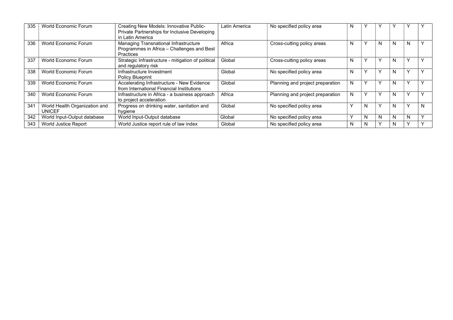| 335 | World Economic Forum                           | Creating New Models: Innovative Public-<br>Private Partnerships for Inclusive Developing<br>in Latin America | Latin America | No specified policy area         | N |   |              |   |              |  |
|-----|------------------------------------------------|--------------------------------------------------------------------------------------------------------------|---------------|----------------------------------|---|---|--------------|---|--------------|--|
| 336 | World Economic Forum                           | Managing Transnational Infrastructure<br>Programmes in Africa - Challenges and Best<br><b>Practices</b>      | Africa        | Cross-cutting policy areas       | N |   | N            | N | N            |  |
| 337 | World Economic Forum                           | Strategic Infrastructure - mitigation of political<br>and regulatory risk                                    | Global        | Cross-cutting policy areas       | N |   |              | N |              |  |
| 338 | World Economic Forum                           | Infrastructure Investment<br>Policy Blueprint                                                                | Global        | No specified policy area         | N |   |              | N |              |  |
| 339 | World Economic Forum                           | Accelerating Infrastructure - New Evidence<br>from International Financial Institutions                      | Global        | Planning and project preparation | N |   |              | N |              |  |
| 340 | World Economic Forum                           | Infrastructure in Africa - a business approach<br>to project acceleration                                    | Africa        | Planning and project preparation | N |   |              | N |              |  |
| 341 | World Health Organization and<br><b>UNICEF</b> | Progress on drinking water, sanitation and<br>hygiene                                                        | Global        | No specified policy area         |   | N | $\checkmark$ | N | $\checkmark$ |  |
| 342 | World Input-Output database                    | World Input-Output database                                                                                  | Global        | No specified policy area         |   | N | N            | N | N            |  |
| 343 | World Justice Report                           | World Justice report rule of law index                                                                       | Global        | No specified policy area         | N | N | v            | N |              |  |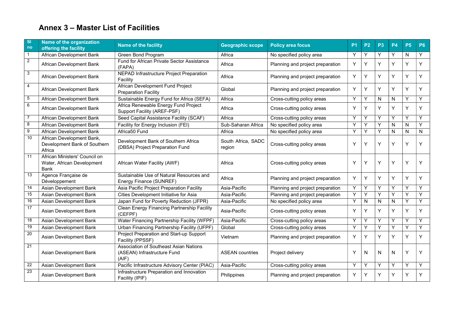## **Annex 3 – Master List of Facilities**

| <b>SI</b><br>no | Name of the organization<br>offering the facility                   | <b>Name of the facility</b>                                                           | <b>Geographic scope</b>      | <b>Policy area focus</b>         | <b>P1</b> | <b>P2</b> | P <sub>3</sub> | <b>P4</b> | <b>P5</b> | <b>P6</b>    |
|-----------------|---------------------------------------------------------------------|---------------------------------------------------------------------------------------|------------------------------|----------------------------------|-----------|-----------|----------------|-----------|-----------|--------------|
| $\mathbf{1}$    | <b>African Development Bank</b>                                     | Green Bond Program                                                                    | Africa                       | No specified policy area         | Y         | Y         | Y              | Y         | N         | Y            |
| $\overline{2}$  | African Development Bank                                            | Fund for African Private Sector Assistance<br>(FAPA)                                  | Africa                       | Planning and project preparation | Y         | Y         | Υ              | Y         | Y         | Y            |
| 3               | African Development Bank                                            | <b>NEPAD Infrastructure Project Preparation</b><br>Facility                           | Africa                       | Planning and project preparation | Y         | Y         | Y              | Y         | Y         | Y            |
| 4               | African Development Bank                                            | African Development Fund Project<br><b>Preparation Facility</b>                       | Global                       | Planning and project preparation | Y         | Y         | Υ              | Υ         | Υ         | Y            |
| 5               | African Development Bank                                            | Sustainable Energy Fund for Africa (SEFA)                                             | Africa                       | Cross-cutting policy areas       | Y         | Υ         | N              | N         | Y         | Y            |
| 6               | African Development Bank                                            | Africa Renewable Energy Fund Project<br>Support Facility (AREF-PSF)                   | Africa                       | Cross-cutting policy areas       | Υ         | Υ         | Υ              | Y         | Y         | Y            |
| $\overline{7}$  | African Development Bank                                            | Seed Capital Assistance Facility (SCAF)                                               | Africa                       | Cross-cutting policy areas       | Y         | Y         | Υ              | Y         | Y         | Y            |
| 8               | African Development Bank                                            | Facility for Energy Inclusion (FEI)                                                   | Sub-Saharan Africa           | No specified policy area         | Υ         | Y         | Υ              | N         | N         | Y            |
| 9               | <b>African Development Bank</b>                                     | Africa50 Fund                                                                         | Africa                       | No specified policy area         | Y         | Y         | Υ              | N         | N         | $\mathsf{N}$ |
| 10              | African Development Bank,<br>Development Bank of Southern<br>Africa | Development Bank of Southern Africa<br>(DBSA) Project Preparation Fund                | South Africa, SADC<br>region | Cross-cutting policy areas       | Y         | Υ         | Υ              | Y         | Y         | Y            |
| 11              | African Ministers' Council on<br>Water, African Development<br>Bank | African Water Facility (AWF)                                                          | Africa                       | Cross-cutting policy areas       | Y         | Y         | Y              | Υ         | Y         | Υ            |
| $\overline{13}$ | Agence Française de<br>Développement                                | Sustainable Use of Natural Resources and<br>Energy Finance (SUNREF)                   | Africa                       | Planning and project preparation | Y         | Y         | Y              | Y         | Y         | Y            |
| 14              | Asian Development Bank                                              | Asia Pacific Project Preparation Facility                                             | Asia-Pacific                 | Planning and project preparation | Y         | Y         | Υ              | Υ         | Y         | Y            |
| 15              | Asian Development Bank                                              | Cities Development Initiative for Asia                                                | Asia-Pacific                 | Planning and project preparation | Y         | Y         | Y              | Υ         | Y         | Y            |
| 16              | Asian Development Bank                                              | Japan Fund for Poverty Reduction (JFPR)                                               | Asia-Pacific                 | No specified policy area         | Y         | N         | N              | N         | Υ         | Y            |
| 17              | Asian Development Bank                                              | Clean Energy Financing Partnership Facility<br>(CEFPF)                                | Asia-Pacific                 | Cross-cutting policy areas       | Y         | Y         | Υ              | Y         | Y         | Y            |
| $\overline{18}$ | Asian Development Bank                                              | Water Financing Partnership Facility (WFPF)                                           | Asia-Pacific                 | Cross-cutting policy areas       | Υ         | Υ         | Y              | Υ         | Y         | Y            |
| 19              | Asian Development Bank                                              | Urban Financing Partnership Facility (UFPF)                                           | Global                       | Cross-cutting policy areas       | Y         | Y         | Y              | Y         | Y         | Y            |
| $\overline{20}$ | Asian Development Bank                                              | Project Preparation and Start-up Support<br>Facility (PPSSF)                          | Vietnam                      | Planning and project preparation | Y         | Y         | Υ              | Y         | Y         | Y            |
| 21              | Asian Development Bank                                              | <b>Association of Southeast Asian Nations</b><br>(ASEAN) Infrastructure Fund<br>(AIF) | <b>ASEAN</b> countries       | Project delivery                 | Y         | N         | N              | N         | Υ         | Y            |
| 22              | Asian Development Bank                                              | Pacific Infrastructure Advisory Center (PIAC)                                         | Asia-Pacific                 | Cross-cutting policy areas       | Y         | Y         | Υ              | Y         | Y         | Y            |
| 23              | Asian Development Bank                                              | Infrastructure Preparation and Innovation<br>Facility (IPIF)                          | Philippines                  | Planning and project preparation | Y         | Y         | Y              | Y         | Y         | Y            |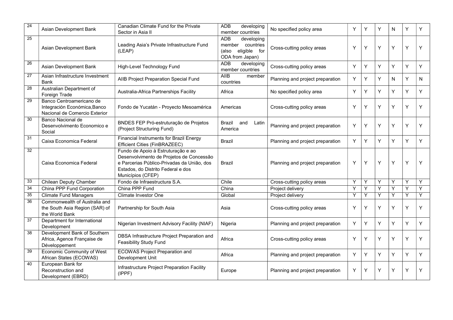| 24 | Asian Development Bank                                                                    | Canadian Climate Fund for the Private<br>Sector in Asia II                                                                                                                              | <b>ADB</b><br>developing<br>member countries                                             | No specified policy area         | Y | Υ | Υ | N | Y | Υ |
|----|-------------------------------------------------------------------------------------------|-----------------------------------------------------------------------------------------------------------------------------------------------------------------------------------------|------------------------------------------------------------------------------------------|----------------------------------|---|---|---|---|---|---|
| 25 | Asian Development Bank                                                                    | Leading Asia's Private Infrastructure Fund<br>(LEAP)                                                                                                                                    | <b>ADB</b><br>developing<br>member countries<br>eligible for<br>(also<br>ODA from Japan) | Cross-cutting policy areas       | Y | Υ | Y | Y | Y | Υ |
| 26 | Asian Development Bank                                                                    | High-Level Technology Fund                                                                                                                                                              | <b>ADB</b><br>developing<br>member countries                                             | Cross-cutting policy areas       | Y | Υ | Y | Y | Y | Y |
| 27 | Asian Infrastructure Investment<br>Bank                                                   | AIIB Project Preparation Special Fund                                                                                                                                                   | <b>AIIB</b><br>member<br>countries                                                       | Planning and project preparation | Y | Y | Y | N | Y | N |
| 28 | Australian Department of<br>Foreign Trade                                                 | Australia-Africa Partnerships Facility                                                                                                                                                  | Africa                                                                                   | No specified policy area         | Y | Υ | Y | Y | Y | Υ |
| 29 | Banco Centroamericano de<br>Integración Económica, Banco<br>Nacional de Comercio Exterior | Fondo de Yucatán - Proyecto Mesoamérica                                                                                                                                                 | Americas                                                                                 | Cross-cutting policy areas       | Y | Y | Y | Υ | Y | Y |
| 30 | Banco Nacional de<br>Desenvolvimento Economico e<br>Social                                | BNDES FEP Pró-estruturação de Projetos<br>(Project Structuring Fund)                                                                                                                    | Brazil<br>and<br>Latin<br>America                                                        | Planning and project preparation | Y | Υ | Υ | Y | Y | Y |
| 31 | Caixa Economica Federal                                                                   | <b>Financial Instruments for Brazil Energy</b><br>Efficient Cities (FinBRAZEEC)                                                                                                         | Brazil                                                                                   | Planning and project preparation | Y | Y | Y | Y | Y | Y |
| 32 | Caixa Economica Federal                                                                   | Fundo de Apoio à Estruturação e ao<br>Desenvolvimento de Projetos de Concessão<br>e Parcerias Público-Privadas da União, dos<br>Estados, do Distrito Federal e dos<br>Municípios (CFEP) | Brazil                                                                                   | Planning and project preparation | Y | Y | Y | Y | Y | Y |
| 33 | <b>Chilean Deputy Chamber</b>                                                             | Fondo de Infraestructura S.A.                                                                                                                                                           | Chile                                                                                    | Cross-cutting policy areas       | Y | Y | Y | Y | Y | Y |
| 34 | China PPP Fund Corporation                                                                | China PPP Fund                                                                                                                                                                          | China                                                                                    | Project delivery                 | Y | Y | Y | Y | Y | Y |
| 35 | <b>Climate Fund Managers</b>                                                              | Climate Investor One                                                                                                                                                                    | Global                                                                                   | Project delivery                 | Y | Y | Y | Y | Y | Ÿ |
| 36 | Commonwealth of Australia and<br>the South Asia Region (SAR) of<br>the World Bank         | Partnership for South Asia                                                                                                                                                              | Asia                                                                                     | Cross-cutting policy areas       | Y | Υ | Y | Y | Y | Y |
| 37 | Department for International<br>Development                                               | Nigerian Investment Advisory Facility (NIAF)                                                                                                                                            | Nigeria                                                                                  | Planning and project preparation | Y | Y | Y | Y | Y | Y |
| 38 | Development Bank of Southern<br>Africa, Agence Française de<br>Développement              | DBSA Infrastructure Project Preparation and<br><b>Feasibility Study Fund</b>                                                                                                            | Africa                                                                                   | Cross-cutting policy areas       | Y | Y | Y | Y | Y | Y |
| 39 | Economic Community of West<br>African States (ECOWAS)                                     | <b>ECOWAS Project Preparation and</b><br>Development Unit                                                                                                                               | Africa                                                                                   | Planning and project preparation | Y | Y | Y | Y | Y | Y |
| 40 | European Bank for<br>Reconstruction and<br>Development (EBRD)                             | Infrastructure Project Preparation Facility<br>(IPPPF)                                                                                                                                  | Europe                                                                                   | Planning and project preparation | Y | Υ | Υ | Υ | Y | Υ |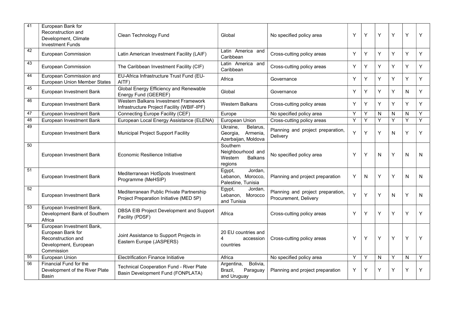| 41              | European Bank for<br>Reconstruction and<br>Development, Climate<br><b>Investment Funds</b>                  | Clean Technology Fund                                                                | Global                                                                | No specified policy area                                   | Y | Υ | Υ | Y | Y            | Y |
|-----------------|-------------------------------------------------------------------------------------------------------------|--------------------------------------------------------------------------------------|-----------------------------------------------------------------------|------------------------------------------------------------|---|---|---|---|--------------|---|
| 42              | European Commission                                                                                         | Latin American Investment Facility (LAIF)                                            | Latin America and<br>Caribbean                                        | Cross-cutting policy areas                                 | Υ | Y | Y | Υ | Y            | Y |
| 43              | European Commission                                                                                         | The Caribbean Investment Facility (CIF)                                              | Latin America and<br>Caribbean                                        | Cross-cutting policy areas                                 | Y | Υ | Y | Υ | Υ            | Y |
| 44              | European Commission and<br>European Union Member States                                                     | EU-Africa Infrastructure Trust Fund (EU-<br>AITF)                                    | Africa                                                                | Governance                                                 | Υ | Υ | Y | Y | Y            | Y |
| 45              | European Investment Bank                                                                                    | Global Energy Efficiency and Renewable<br>Energy Fund (GEEREF)                       | Global                                                                | Governance                                                 | Y | Υ | Y | Υ | N            | Y |
| 46              | European Investment Bank                                                                                    | Western Balkans Investment Framework<br>Infrastructure Project Facility (WBIF-IPF)   | <b>Western Balkans</b>                                                | Cross-cutting policy areas                                 | Y | Y | Y | Y | Y            | Y |
| $\overline{47}$ | European Investment Bank                                                                                    | Connecting Europe Facility (CEF)                                                     | Europe                                                                | No specified policy area                                   | Y | Y | N | N | $\mathsf{N}$ | Y |
| 48              | European Investment Bank                                                                                    | European Local Energy Assistance (ELENA)                                             | European Union                                                        | Cross-cutting policy areas                                 | Y | Y | Y | Y | Ÿ            | Ÿ |
| 49              | European Investment Bank                                                                                    | Municipal Project Support Facility                                                   | Ukraine,<br>Belarus,<br>Armenia,<br>Georgia,<br>Azerbaijan, Moldova   | Planning and project preparation,<br>Delivery              | Y | Y | Y | N | Y            | Y |
| 50              | European Investment Bank                                                                                    | Economic Resilience Initiative                                                       | Southern<br>Neighbourhood and<br>Western<br><b>Balkans</b><br>regions | No specified policy area                                   | Y | Υ | N | Y | N            | N |
| 51              | European Investment Bank                                                                                    | Mediterranean HotSpots Investment<br>Programme (MeHSIP)                              | Jordan,<br>Egypt,<br>Lebanon, Morocco,<br>Palestine, Tunisia          | Planning and project preparation                           | Y | N | Y | Y | N            | N |
| 52              | European Investment Bank                                                                                    | Mediterranean Public Private Partnership<br>Project Preparation Initiative (MED 5P)  | Egypt,<br>Jordan,<br>Lebanon, Morocco<br>and Tunisia                  | Planning and project preparation,<br>Procurement, Delivery | Y | Υ | Υ | N | Y            | N |
| 53              | European Investment Bank,<br>Development Bank of Southern<br>Africa                                         | DBSA EIB Project Development and Support<br>Facility (PDSF)                          | Africa                                                                | Cross-cutting policy areas                                 | Y | Υ | Υ | Y | Υ            | Y |
| 54              | European Investment Bank,<br>European Bank for<br>Reconstruction and<br>Development, European<br>Commission | Joint Assistance to Support Projects in<br>Eastern Europe (JASPERS)                  | 20 EU countries and<br>4<br>accession<br>countries                    | Cross-cutting policy areas                                 | Υ | Υ | Y | Y | Y            | Y |
| 55              | European Union                                                                                              | <b>Electrification Finance Initiative</b>                                            | Africa                                                                | No specified policy area                                   | Y | Y | N | Y | N            | Y |
| 56              | Financial Fund for the<br>Development of the River Plate<br>Basin                                           | <b>Technical Cooperation Fund - River Plate</b><br>Basin Development Fund (FONPLATA) | Bolivia,<br>Argentina,<br>Paraguay<br>Brazil,<br>and Uruguay          | Planning and project preparation                           | Y | Y | Υ | Υ | Υ            | Y |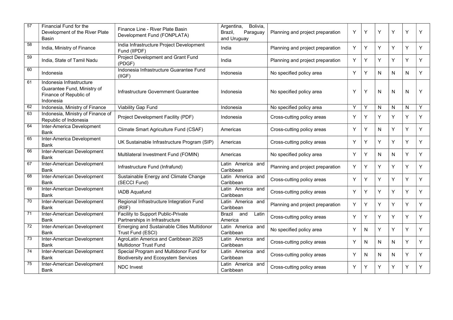| 57              | Financial Fund for the<br>Development of the River Plate<br><b>Basin</b>                       | Finance Line - River Plate Basin<br>Development Fund (FONPLATA)                       | Bolivia,<br>Argentina,<br>Paraguay<br>Brazil,<br>and Uruguay | Planning and project preparation | Y | Υ | Υ | Y | Y | Y |
|-----------------|------------------------------------------------------------------------------------------------|---------------------------------------------------------------------------------------|--------------------------------------------------------------|----------------------------------|---|---|---|---|---|---|
| 58              | India, Ministry of Finance                                                                     | India Infrastructure Project Development<br>Fund (IIPDF)                              | India                                                        | Planning and project preparation | Y | Y | Y | Y | Y | Y |
| 59              | India, State of Tamil Nadu                                                                     | Project Development and Grant Fund<br>(PDGF)                                          | India                                                        | Planning and project preparation | Y | Υ | Y | Υ | Y | Y |
| 60              | Indonesia                                                                                      | Indonesia Infrastructure Guarantee Fund<br>(IIGF)                                     | Indonesia                                                    | No specified policy area         | Y | Υ | N | N | N | Y |
| 61              | Indonesia Infrastructure<br>Guarantee Fund, Ministry of<br>Finance of Republic of<br>Indonesia | Infrastructure Government Guarantee                                                   | Indonesia                                                    | No specified policy area         | Y | Υ | N | N | N | Y |
| 62              | Indonesia, Ministry of Finance                                                                 | <b>Viability Gap Fund</b>                                                             | Indonesia                                                    | No specified policy area         | Y | Y | N | N | N | Y |
| 63              | Indonesia, Ministry of Finance of<br>Republic of Indonesia                                     | Project Development Facility (PDF)                                                    | Indonesia                                                    | Cross-cutting policy areas       | Y | Y | Y | Y | Y | Y |
| 64              | Inter-America Development<br><b>Bank</b>                                                       | Climate Smart Agriculture Fund (CSAF)                                                 | Americas                                                     | Cross-cutting policy areas       | Y | Y | N | Υ | Y | Y |
| 65              | Inter-America Development<br>Bank                                                              | UK Sustainable Infrastructure Program (SIP)                                           | Americas                                                     | Cross-cutting policy areas       | Y | Y | Y | Υ | Υ | Y |
| 66              | Inter-American Development<br><b>Bank</b>                                                      | Multilateral Investment Fund (FOMIN)                                                  | Americas                                                     | No specified policy area         | Y | Υ | N | N | Y | Y |
| 67              | Inter-American Development<br>Bank                                                             | Infrastructure Fund (Infrafund)                                                       | Latin America and<br>Caribbean                               | Planning and project preparation | Y | Υ | Y | Y | Y | Y |
| 68              | Inter-American Development<br>Bank                                                             | Sustainable Energy and Climate Change<br>(SECCI Fund)                                 | Latin America and<br>Caribbean                               | Cross-cutting policy areas       | Y | Υ | Y | Y | Y | Y |
| 69              | Inter-American Development<br>Bank                                                             | <b>IADB Aquafund</b>                                                                  | Latin America and<br>Caribbean                               | Cross-cutting policy areas       | Y | Y | Y | Υ | Y | Y |
| 70              | Inter-American Development<br>Bank                                                             | Regional Infrastructure Integration Fund<br>(RIIF)                                    | Latin America and<br>Caribbean                               | Planning and project preparation | Y | Υ | Υ | Υ | Y | Y |
| 71              | Inter-American Development<br>Bank                                                             | Facility to Support Public-Private<br>Partnerships in Infrastructure                  | Brazil<br>and<br>Latin<br>America                            | Cross-cutting policy areas       | Y | Υ | Υ | Υ | Y | Y |
| 72              | Inter-American Development<br><b>Bank</b>                                                      | Emerging and Sustainable Cities Multidonor<br>Trust Fund (ESCI)                       | Latin America and<br>Caribbean                               | No specified policy area         | Y | N | Y | Y | Y | Y |
| $\overline{73}$ | Inter-American Development<br>Bank                                                             | AgroLatin America and Caribbean 2025<br><b>Multidonor Trust Fund</b>                  | Latin America and<br>Caribbean                               | Cross-cutting policy areas       | Υ | N | N | N | Y | Y |
| 74              | Inter-American Development<br>Bank                                                             | Special Program and Multidonor Fund for<br><b>Biodiversity and Ecosystem Services</b> | Latin America and<br>Caribbean                               | Cross-cutting policy areas       | Υ | N | N | N | Y | Y |
| 75              | Inter-American Development<br><b>Bank</b>                                                      | <b>NDC Invest</b>                                                                     | Latin America and<br>Caribbean                               | Cross-cutting policy areas       | Y | Y | Y | Y | Y | Y |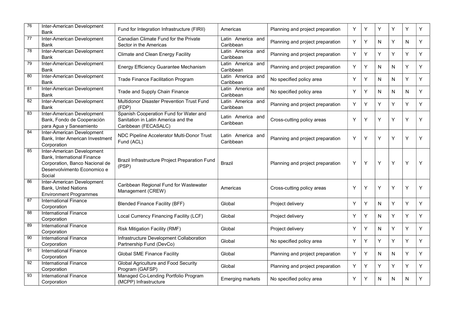| 76 | Inter-American Development<br><b>Bank</b>                                                                                                   | Fund for Integration Infrastructure (FIRII)                                                           | Americas                       | Planning and project preparation | Y | Y | Y | Y         | Υ | Y |
|----|---------------------------------------------------------------------------------------------------------------------------------------------|-------------------------------------------------------------------------------------------------------|--------------------------------|----------------------------------|---|---|---|-----------|---|---|
| 77 | Inter-American Development<br><b>Bank</b>                                                                                                   | Canadian Climate Fund for the Private<br>Sector in the Americas                                       | Latin America and<br>Caribbean | Planning and project preparation | Y | Υ | N | Υ         | N | Y |
| 78 | Inter-American Development<br><b>Bank</b>                                                                                                   | <b>Climate and Clean Energy Facility</b>                                                              | Latin America and<br>Caribbean | Planning and project preparation | Y | Υ | Y | Υ         | Y | Y |
| 79 | Inter-American Development<br>Bank                                                                                                          | Energy Efficiency Guarantee Mechanism                                                                 | Latin America and<br>Caribbean | Planning and project preparation | Y | Y | N | N         | Y | Y |
| 80 | Inter-American Development<br>Bank                                                                                                          | <b>Trade Finance Facilitation Program</b>                                                             | Latin America and<br>Caribbean | No specified policy area         | Y | Υ | N | N         | Υ | Y |
| 81 | Inter-American Development<br><b>Bank</b>                                                                                                   | Trade and Supply Chain Finance                                                                        | Latin America and<br>Caribbean | No specified policy area         | Y | Y | N | ${\sf N}$ | N | Υ |
| 82 | Inter-American Development<br>Bank                                                                                                          | Multidonor Disaster Prevention Trust Fund<br>(FDP)                                                    | Latin America and<br>Caribbean | Planning and project preparation | Y | Υ | Y | Υ         | Υ | Y |
| 83 | Inter-American Development<br>Bank, Fondo de Cooperación<br>para Agua y Saneamiento                                                         | Spanish Cooperation Fund for Water and<br>Sanitation in Latin America and the<br>Caribbean (FECASALC) | Latin America and<br>Caribbean | Cross-cutting policy areas       | Y | Υ | Y | Y         | Y | Y |
| 84 | Inter-American Development<br>Bank, Inter American Investment<br>Corporation                                                                | NDC Pipeline Accelerator Multi-Donor Trust<br>Fund (ACL)                                              | Latin America and<br>Caribbean | Planning and project preparation | Y | Y | Y | Y         | Y | Y |
| 85 | Inter-American Development<br><b>Bank, International Finance</b><br>Corporation, Banco Nacional de<br>Desenvolvimento Economico e<br>Social | Brazil Infrastructure Project Preparation Fund<br>(PSP)                                               | Brazil                         | Planning and project preparation | Y | Υ | Y | Y         | Y | Y |
| 86 | Inter-American Development<br><b>Bank, United Nations</b><br><b>Environment Programmes</b>                                                  | Caribbean Regional Fund for Wastewater<br>Management (CREW)                                           | Americas                       | Cross-cutting policy areas       | Y | Υ | Y | Y         | Y | Y |
| 87 | <b>International Finance</b><br>Corporation                                                                                                 | <b>Blended Finance Facility (BFF)</b>                                                                 | Global                         | Project delivery                 | Y | Υ | N | Υ         | Y | Υ |
| 88 | <b>International Finance</b><br>Corporation                                                                                                 | Local Currency Financing Facility (LCF)                                                               | Global                         | Project delivery                 | Y | Υ | N | Υ         | Y | Y |
| 89 | <b>International Finance</b><br>Corporation                                                                                                 | Risk Mitigation Facility (RMF)                                                                        | Global                         | Project delivery                 | Y | Y | N | Y         | Y | Y |
| 90 | <b>International Finance</b><br>Corporation                                                                                                 | Infrastructure Development Collaboration<br>Partnership Fund (DevCo)                                  | Global                         | No specified policy area         | Y | Υ | Y | Υ         | Y | Y |
| 91 | <b>International Finance</b><br>Corporation                                                                                                 | <b>Global SME Finance Facility</b>                                                                    | Global                         | Planning and project preparation | Y | Υ | N | ${\sf N}$ | Y | Y |
| 92 | <b>International Finance</b><br>Corporation                                                                                                 | Global Agriculture and Food Security<br>Program (GAFSP)                                               | Global                         | Planning and project preparation | Y | Υ | Y | Y         | Υ | Y |
| 93 | International Finance<br>Corporation                                                                                                        | Managed Co-Lending Portfolio Program<br>(MCPP) Infrastructure                                         | <b>Emerging markets</b>        | No specified policy area         | Y | Υ | N | N         | N | Y |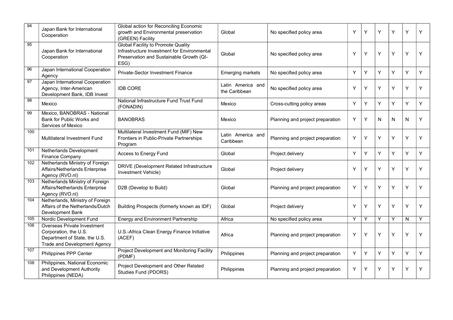| 94              | Japan Bank for International<br>Cooperation                                                                                  | Global action for Reconciling Economic<br>growth and Environmental preservation<br>(GREEN) Facility                                   | Global                             | No specified policy area         | Y | Y | Y | Y | Y | Y |
|-----------------|------------------------------------------------------------------------------------------------------------------------------|---------------------------------------------------------------------------------------------------------------------------------------|------------------------------------|----------------------------------|---|---|---|---|---|---|
| 95              | Japan Bank for International<br>Cooperation                                                                                  | Global Facility to Promote Quality<br>Infrastructure Investment for Environmental<br>Preservation and Sustainable Growth (QI-<br>ESG) | Global                             | No specified policy area         | Y | Υ | Y | Υ | Y | Y |
| 96              | Japan International Cooperation<br>Agency                                                                                    | Private-Sector Investment Finance                                                                                                     | <b>Emerging markets</b>            | No specified policy area         | Y | Υ | Υ | Y | Y | Y |
| 97              | Japan International Cooperation<br>Agency, Inter-American<br>Development Bank, IDB Invest                                    | <b>IDB CORE</b>                                                                                                                       | Latin America and<br>the Caribbean | No specified policy area         | Y | Y | Y | Y | Y | Y |
| $\overline{98}$ | Mexico                                                                                                                       | National Infrastructure Fund Trust Fund<br>(FONADIN)                                                                                  | Mexico                             | Cross-cutting policy areas       | Y | Υ | Υ | Y | Y | Y |
| 99              | Mexico, BANOBRAS - National<br>Bank for Public Works and<br>Services of Mexico                                               | <b>BANOBRAS</b>                                                                                                                       | Mexico                             | Planning and project preparation | Y | Υ | N | N | N | Y |
| 100             | <b>Multilateral Investment Fund</b>                                                                                          | Multilateral Investment Fund (MIF) New<br>Frontiers in Public-Private Partnerships<br>Program                                         | Latin America and<br>Caribbean     | Planning and project preparation | Y | Υ | Υ | Υ | Y | Y |
| 101             | Netherlands Development<br>Finance Company                                                                                   | Access to Energy Fund                                                                                                                 | Global                             | Project delivery                 | Y | Y | Y | Y | Y | Y |
| 102             | Netherlands Ministry of Foreign<br>Affairs/Netherlands Enterprise<br>Agency (RVO.nl)                                         | DRIVE (Development Related Infrastructure<br>Investment Vehicle)                                                                      | Global                             | Project delivery                 | Y | Y | Y | Y | Y | Y |
| 103             | Netherlands Ministry of Foreign<br>Affairs/Netherlands Enterprise<br>Agency (RVO.nl)                                         | D2B (Develop to Build)                                                                                                                | Global                             | Planning and project preparation | Y | Υ | Υ | Υ | Y | Y |
| 104             | Netherlands, Ministry of Foreign<br>Affairs of the Netherlands/Dutch<br>Development Bank                                     | Building Prospects (formerly known as IDF)                                                                                            | Global                             | Project delivery                 | Y | Υ | Υ | Y | Y | Y |
| 105             | Nordic Development Fund                                                                                                      | <b>Energy and Environment Partnership</b>                                                                                             | Africa                             | No specified policy area         | Y | Υ | Υ | Y | N | Υ |
| 106             | Overseas Private Investment<br>Corporation, the U.S.<br>Department of State, the U.S.<br><b>Trade and Development Agency</b> | U.S.-Africa Clean Energy Finance Initiative<br>(ACEF)                                                                                 | Africa                             | Planning and project preparation | Y | Y | Υ | Y | Y | Y |
| 107             | Philippines PPP Center                                                                                                       | Project Development and Monitoring Facility<br>(PDMF)                                                                                 | Philippines                        | Planning and project preparation | Y | Y | Υ | Y | Y | Y |
| 108             | Philippines, National Economic<br>and Development Authority<br>Philippines (NEDA)                                            | Project Development and Other Related<br>Studies Fund (PDORS)                                                                         | Philippines                        | Planning and project preparation | Y | Υ | Υ | Υ | Υ | Y |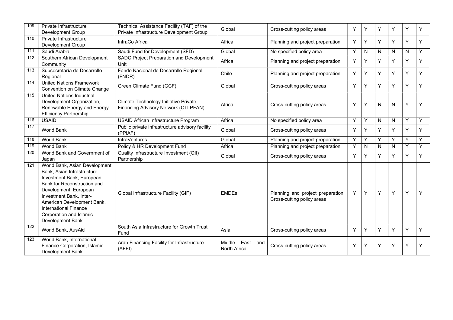| 109 | Private Infrastructure<br>Development Group                                                                                                                                                                                                                                              | Technical Assistance Facility (TAF) of the<br>Private Infrastructure Development Group | Global                             | Cross-cutting policy areas                                      | Υ | Υ | Υ | Y         | Υ | Y |
|-----|------------------------------------------------------------------------------------------------------------------------------------------------------------------------------------------------------------------------------------------------------------------------------------------|----------------------------------------------------------------------------------------|------------------------------------|-----------------------------------------------------------------|---|---|---|-----------|---|---|
| 110 | Private Infrastructure<br>Development Group                                                                                                                                                                                                                                              | InfraCo Africa                                                                         | Africa                             | Planning and project preparation                                | Y | Y | Υ | Y         | Y | Y |
| 111 | Saudi Arabia                                                                                                                                                                                                                                                                             | Saudi Fund for Development (SFD)                                                       | Global                             | No specified policy area                                        | Y | N | N | N         | N | Y |
| 112 | Southern African Development<br>Community                                                                                                                                                                                                                                                | SADC Project Preparation and Development<br>Unit                                       | Africa                             | Planning and project preparation                                | Y | Y | Y | Y         | Y | Y |
| 113 | Subsecretaría de Desarrollo<br>Regional                                                                                                                                                                                                                                                  | Fondo Nacional de Desarrollo Regional<br>(FNDR)                                        | Chile                              | Planning and project preparation                                | Y | Y | Y | Y         | Y | Y |
| 114 | <b>United Nations Framework</b><br>Convention on Climate Change                                                                                                                                                                                                                          | Green Climate Fund (GCF)                                                               | Global                             | Cross-cutting policy areas                                      | Y | Y | Y | Y         | Y | Y |
| 115 | <b>United Nations Industrial</b><br>Development Organization,<br>Renewable Energy and Energy<br><b>Efficiency Partnership</b>                                                                                                                                                            | Climate Technology Initiative Private<br>Financing Advisory Network (CTI PFAN)         | Africa                             | Cross-cutting policy areas                                      | Y | Y | N | ${\sf N}$ | Y | Y |
| 116 | <b>USAID</b>                                                                                                                                                                                                                                                                             | USAID African Infrastructure Program                                                   | Africa                             | No specified policy area                                        | Υ | Υ | N | N         | Y | Y |
| 117 | <b>World Bank</b>                                                                                                                                                                                                                                                                        | Public private infrastructure advisory facility<br>(PPIAF)                             | Global                             | Cross-cutting policy areas                                      | Y | Y | Υ | Υ         | Υ | Y |
| 118 | <b>World Bank</b>                                                                                                                                                                                                                                                                        | <b>InfraVentures</b>                                                                   | Global                             | Planning and project preparation                                | Y | Y | Y | Y         | Y | Y |
| 119 | World Bank                                                                                                                                                                                                                                                                               | Policy & HR Development Fund                                                           | Africa                             | Planning and project preparation                                | Y | N | N | N         | Y | Y |
| 120 | World Bank and Government of<br>Japan                                                                                                                                                                                                                                                    | Quality Infrastructure Investment (QII)<br>Partnership                                 | Global                             | Cross-cutting policy areas                                      | Y | Y | Υ | Y         | Y | Y |
| 121 | World Bank, Asian Development<br>Bank, Asian Infrastructure<br>Investment Bank, European<br>Bank for Reconstruction and<br>Development, European<br>Investment Bank, Inter-<br>American Development Bank,<br><b>International Finance</b><br>Corporation and Islamic<br>Development Bank | Global Infrastructure Facility (GIF)                                                   | <b>EMDEs</b>                       | Planning and project preparation,<br>Cross-cutting policy areas | Y | Y | Y | Υ         | Y | Y |
| 122 | World Bank, AusAid                                                                                                                                                                                                                                                                       | South Asia Infrastructure for Growth Trust<br>Fund                                     | Asia                               | Cross-cutting policy areas                                      | Y | Y | Y | Y         | Y | Y |
| 123 | World Bank, International<br>Finance Corporation, Islamic<br>Development Bank                                                                                                                                                                                                            | Arab Financing Facility for Infrastructure<br>(AFFI)                                   | East and<br>Middle<br>North Africa | Cross-cutting policy areas                                      | Y | Υ | Υ | Υ         | Y | Y |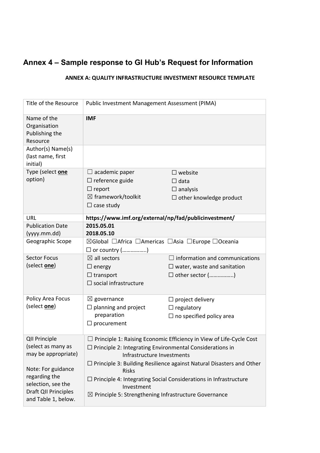## **Annex 4 – Sample response to GI Hub's Request for Information**

#### **ANNEX A: QUALITY INFRASTRUCTURE INVESTMENT RESOURCE TEMPLATE**

| Title of the Resource                                                                                    | Public Investment Management Assessment (PIMA)                                                                                                                              |                                                                                                                                                                                                                            |  |  |  |  |
|----------------------------------------------------------------------------------------------------------|-----------------------------------------------------------------------------------------------------------------------------------------------------------------------------|----------------------------------------------------------------------------------------------------------------------------------------------------------------------------------------------------------------------------|--|--|--|--|
| Name of the<br>Organisation<br>Publishing the<br>Resource                                                | <b>IMF</b>                                                                                                                                                                  |                                                                                                                                                                                                                            |  |  |  |  |
| Author(s) Name(s)<br>(last name, first<br>initial)                                                       |                                                                                                                                                                             |                                                                                                                                                                                                                            |  |  |  |  |
| Type (select one<br>option)                                                                              | $\Box$ academic paper<br>$\Box$ reference guide<br>$\Box$ report<br>$\boxtimes$ framework/toolkit<br>$\Box$ case study                                                      | $\square$ website<br>$\Box$ data<br>$\Box$ analysis<br>$\square$ other knowledge product                                                                                                                                   |  |  |  |  |
| URL                                                                                                      | https://www.imf.org/external/np/fad/publicinvestment/                                                                                                                       |                                                                                                                                                                                                                            |  |  |  |  |
| <b>Publication Date</b><br>(yyyy.mm.dd)                                                                  | 2015.05.01<br>2018.05.10                                                                                                                                                    |                                                                                                                                                                                                                            |  |  |  |  |
| Geographic Scope                                                                                         | $\boxtimes$ Global $\Box$ Africa $\Box$ Americas $\Box$ Asia $\Box$ Europe $\Box$ Oceania<br>$\square$ or country ()                                                        |                                                                                                                                                                                                                            |  |  |  |  |
| <b>Sector Focus</b><br>(select <b>one</b> )                                                              | $\boxtimes$ all sectors<br>$\Box$ energy<br>$\Box$ transport<br>$\square$ social infrastructure                                                                             | $\Box$ information and communications<br>$\Box$ water, waste and sanitation<br>$\square$ other sector ()                                                                                                                   |  |  |  |  |
| Policy Area Focus<br>(select one)                                                                        | $\boxtimes$ governance<br>$\Box$ planning and project<br>preparation<br>$\Box$ procurement                                                                                  | $\Box$ project delivery<br>$\Box$ regulatory<br>$\Box$ no specified policy area                                                                                                                                            |  |  |  |  |
| <b>QII Principle</b><br>(select as many as<br>may be appropriate)                                        | $\Box$ Principle 1: Raising Economic Efficiency in View of Life-Cycle Cost<br>$\Box$ Principle 2: Integrating Environmental Considerations in<br>Infrastructure Investments |                                                                                                                                                                                                                            |  |  |  |  |
| Note: For guidance<br>regarding the<br>selection, see the<br>Draft QII Principles<br>and Table 1, below. | <b>Risks</b><br>Investment                                                                                                                                                  | $\Box$ Principle 3: Building Resilience against Natural Disasters and Other<br>$\Box$ Principle 4: Integrating Social Considerations in Infrastructure<br>$\boxtimes$ Principle 5: Strengthening Infrastructure Governance |  |  |  |  |